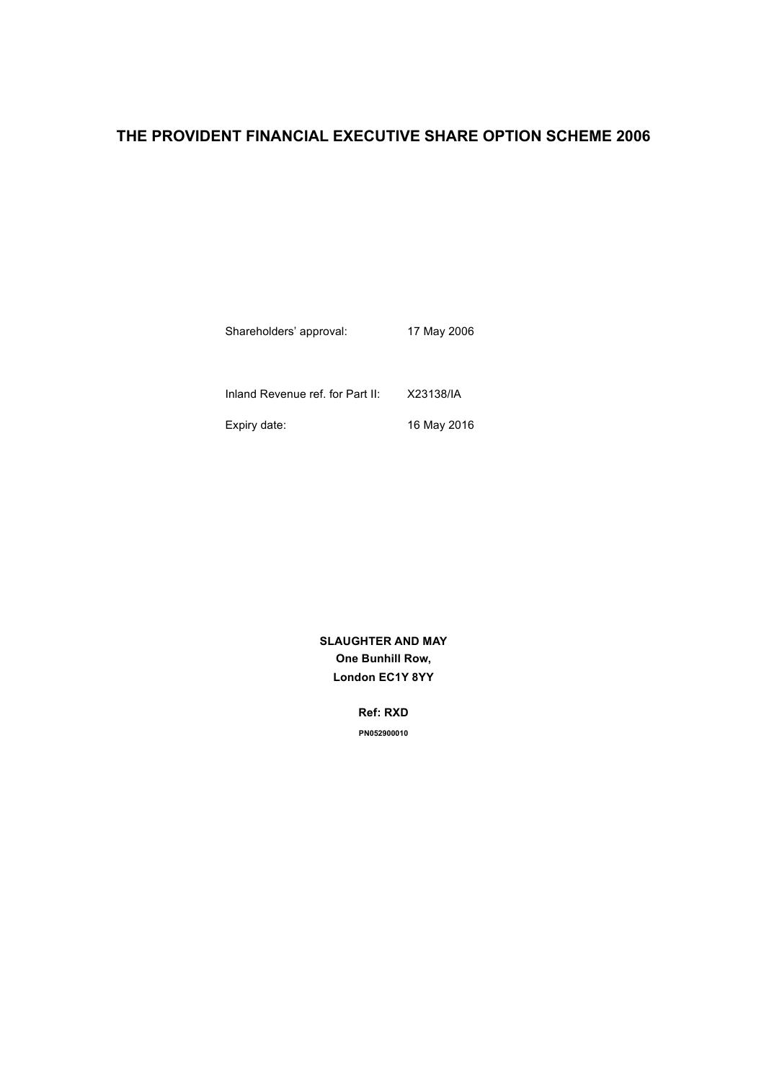# **THE PROVIDENT FINANCIAL EXECUTIVE SHARE OPTION SCHEME 2006**

Shareholders' approval: 17 May 2006 Inland Revenue ref. for Part II: X23138/IA Expiry date: 16 May 2016

> **SLAUGHTER AND MAY One Bunhill Row, London EC1Y 8YY**

> > **Ref: RXD PN052900010**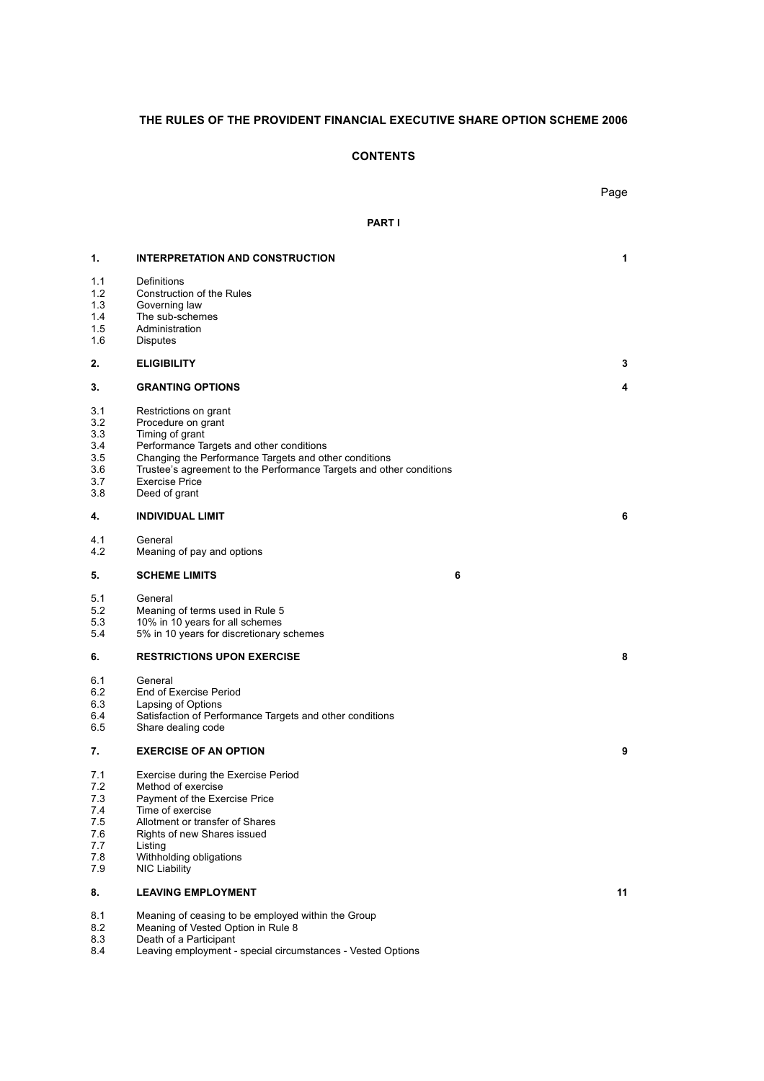# **THE RULES OF THE PROVIDENT FINANCIAL EXECUTIVE SHARE OPTION SCHEME 2006**

# **CONTENTS**

|                                                            |                                                                                                                                                                                                                                                                                      |               | Page |
|------------------------------------------------------------|--------------------------------------------------------------------------------------------------------------------------------------------------------------------------------------------------------------------------------------------------------------------------------------|---------------|------|
|                                                            |                                                                                                                                                                                                                                                                                      | <b>PART I</b> |      |
| 1.                                                         | <b>INTERPRETATION AND CONSTRUCTION</b>                                                                                                                                                                                                                                               |               | 1    |
| 1.1<br>1.2<br>1.3<br>1.4<br>1.5<br>1.6                     | Definitions<br>Construction of the Rules<br>Governing law<br>The sub-schemes<br>Administration<br><b>Disputes</b>                                                                                                                                                                    |               |      |
| 2.                                                         | <b>ELIGIBILITY</b>                                                                                                                                                                                                                                                                   |               | 3    |
| 3.                                                         | <b>GRANTING OPTIONS</b>                                                                                                                                                                                                                                                              |               | 4    |
| 3.1<br>3.2<br>3.3<br>3.4<br>3.5<br>3.6<br>3.7<br>3.8       | Restrictions on grant<br>Procedure on grant<br>Timing of grant<br>Performance Targets and other conditions<br>Changing the Performance Targets and other conditions<br>Trustee's agreement to the Performance Targets and other conditions<br><b>Exercise Price</b><br>Deed of grant |               |      |
| 4.                                                         | <b>INDIVIDUAL LIMIT</b>                                                                                                                                                                                                                                                              |               | 6    |
| 4.1<br>4.2                                                 | General<br>Meaning of pay and options                                                                                                                                                                                                                                                |               |      |
| 5.                                                         | <b>SCHEME LIMITS</b>                                                                                                                                                                                                                                                                 | 6             |      |
| 5.1<br>5.2<br>5.3<br>5.4                                   | General<br>Meaning of terms used in Rule 5<br>10% in 10 years for all schemes<br>5% in 10 years for discretionary schemes                                                                                                                                                            |               |      |
| 6.                                                         | <b>RESTRICTIONS UPON EXERCISE</b>                                                                                                                                                                                                                                                    |               | 8    |
| 6.1<br>6.2<br>6.3<br>6.4<br>6.5                            | General<br>End of Exercise Period<br>Lapsing of Options<br>Satisfaction of Performance Targets and other conditions<br>Share dealing code                                                                                                                                            |               |      |
| 7.                                                         | <b>EXERCISE OF AN OPTION</b>                                                                                                                                                                                                                                                         |               | 9    |
| 7.1<br>7.2<br>7.3<br>7.4<br>7.5<br>7.6<br>7.7<br>7.8<br>79 | Exercise during the Exercise Period<br>Method of exercise<br>Payment of the Exercise Price<br>Time of exercise<br>Allotment or transfer of Shares<br>Rights of new Shares issued<br>Listing<br>Withholding obligations<br><b>NIC Liability</b>                                       |               |      |
| 8.                                                         | <b>LEAVING EMPLOYMENT</b>                                                                                                                                                                                                                                                            |               | 11   |
| 8.1                                                        | Meaning of ceasing to be employed within the Group                                                                                                                                                                                                                                   |               |      |

- 8.2 Meaning of Vested Option in Rule 8
- 8.3 Death of a Participant
- 8.4 Leaving employment special circumstances Vested Options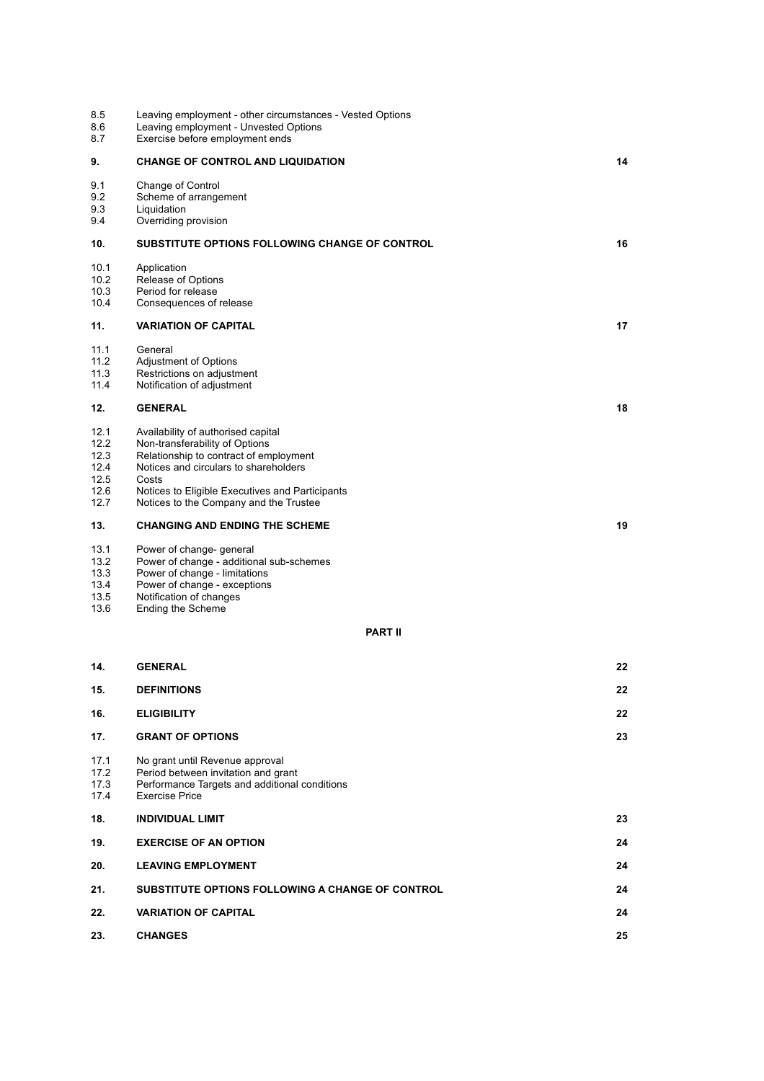| 8.5<br>8.6<br>8.7 | Leaving employment - other circumstances - Vested Options<br>Leaving employment - Unvested Options<br>Exercise before employment ends |    |
|-------------------|---------------------------------------------------------------------------------------------------------------------------------------|----|
| 9.                | <b>CHANGE OF CONTROL AND LIQUIDATION</b>                                                                                              | 14 |
| 9.1               | Change of Control                                                                                                                     |    |
| 9.2<br>9.3        | Scheme of arrangement<br>Liquidation                                                                                                  |    |
| 9.4               | Overriding provision                                                                                                                  |    |
| 10.               | <b>SUBSTITUTE OPTIONS FOLLOWING CHANGE OF CONTROL</b>                                                                                 | 16 |
| 10.1              | Application                                                                                                                           |    |
| 10.2<br>10.3      | Release of Options<br>Period for release                                                                                              |    |
| 10.4              | Consequences of release                                                                                                               |    |
| 11.               | <b>VARIATION OF CAPITAL</b>                                                                                                           | 17 |
| 11.1              | General                                                                                                                               |    |
| 11.2<br>11.3      | Adjustment of Options<br>Restrictions on adjustment                                                                                   |    |
| 11.4              | Notification of adjustment                                                                                                            |    |
| 12.               | <b>GENERAL</b>                                                                                                                        | 18 |
| 12.1              | Availability of authorised capital                                                                                                    |    |
| 12.2              | Non-transferability of Options                                                                                                        |    |
| 12.3<br>12.4      | Relationship to contract of employment<br>Notices and circulars to shareholders                                                       |    |
| 12.5              | Costs                                                                                                                                 |    |
| 12.6              | Notices to Eligible Executives and Participants                                                                                       |    |
| 12.7              | Notices to the Company and the Trustee                                                                                                |    |
| 13.               | <b>CHANGING AND ENDING THE SCHEME</b>                                                                                                 | 19 |
| 13.1              | Power of change- general                                                                                                              |    |
| 13.2<br>13.3      | Power of change - additional sub-schemes<br>Power of change - limitations                                                             |    |
| 13.4              | Power of change - exceptions                                                                                                          |    |
| 13.5              | Notification of changes                                                                                                               |    |
| 13.6              | Ending the Scheme                                                                                                                     |    |
|                   | <b>PART II</b>                                                                                                                        |    |
| 14.               | <b>GENERAL</b>                                                                                                                        | 22 |
| 15.               | <b>DEFINITIONS</b>                                                                                                                    | 22 |
| 16.               | <b>ELIGIBILITY</b>                                                                                                                    | 22 |
| 17.               | <b>GRANT OF OPTIONS</b>                                                                                                               | 23 |
| 17.1              | No grant until Revenue approval                                                                                                       |    |
| 17.2<br>17.3      | Period between invitation and grant<br>Performance Targets and additional conditions                                                  |    |
| 17.4              | <b>Exercise Price</b>                                                                                                                 |    |
| 18.               | <b>INDIVIDUAL LIMIT</b>                                                                                                               | 23 |
| 19.               | <b>EXERCISE OF AN OPTION</b>                                                                                                          | 24 |
| 20.               | <b>LEAVING EMPLOYMENT</b>                                                                                                             | 24 |
| 21.               | SUBSTITUTE OPTIONS FOLLOWING A CHANGE OF CONTROL                                                                                      | 24 |
| 22.               | <b>VARIATION OF CAPITAL</b>                                                                                                           | 24 |
| 23.               | <b>CHANGES</b>                                                                                                                        | 25 |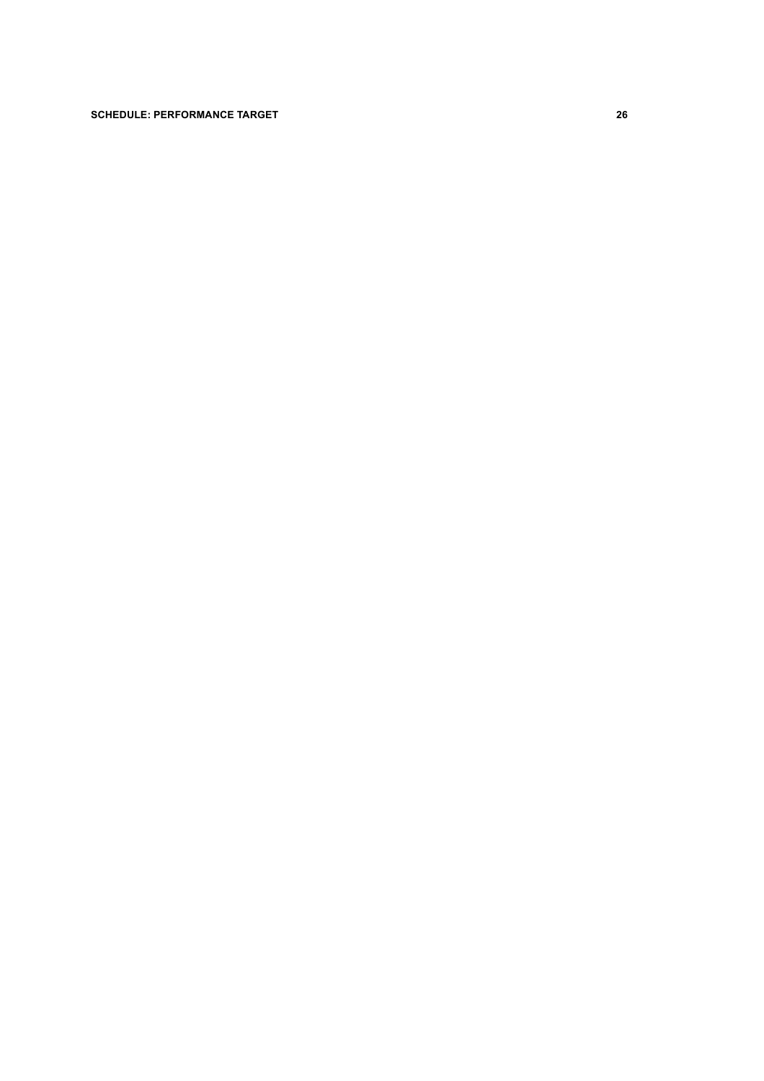# **SCHEDULE: PERFORMANCE TARGET 26**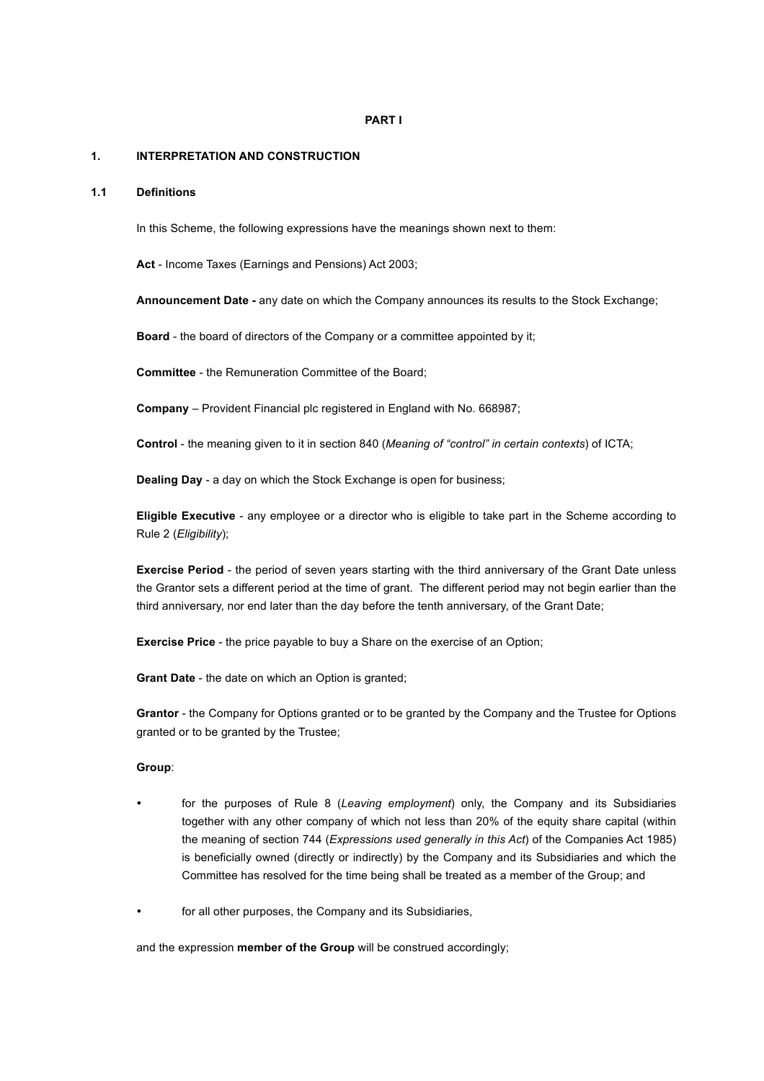# **PART I**

#### **1. INTERPRETATION AND CONSTRUCTION**

# **1.1 Definitions**

In this Scheme, the following expressions have the meanings shown next to them:

**Act** - Income Taxes (Earnings and Pensions) Act 2003;

**Announcement Date -** any date on which the Company announces its results to the Stock Exchange;

**Board** - the board of directors of the Company or a committee appointed by it;

**Committee** - the Remuneration Committee of the Board;

**Company** – Provident Financial plc registered in England with No. 668987;

**Control** - the meaning given to it in section 840 (*Meaning of "control" in certain contexts*) of ICTA;

**Dealing Day** - a day on which the Stock Exchange is open for business;

**Eligible Executive** - any employee or a director who is eligible to take part in the Scheme according to Rule 2 (*Eligibility*);

**Exercise Period** - the period of seven years starting with the third anniversary of the Grant Date unless the Grantor sets a different period at the time of grant. The different period may not begin earlier than the third anniversary, nor end later than the day before the tenth anniversary, of the Grant Date;

**Exercise Price** - the price payable to buy a Share on the exercise of an Option;

**Grant Date** - the date on which an Option is granted;

**Grantor** - the Company for Options granted or to be granted by the Company and the Trustee for Options granted or to be granted by the Trustee;

# **Group**:

- for the purposes of Rule 8 (*Leaving employment*) only, the Company and its Subsidiaries together with any other company of which not less than 20% of the equity share capital (within the meaning of section 744 (*Expressions used generally in this Act*) of the Companies Act 1985) is beneficially owned (directly or indirectly) by the Company and its Subsidiaries and which the Committee has resolved for the time being shall be treated as a member of the Group; and
- for all other purposes, the Company and its Subsidiaries,

and the expression **member of the Group** will be construed accordingly;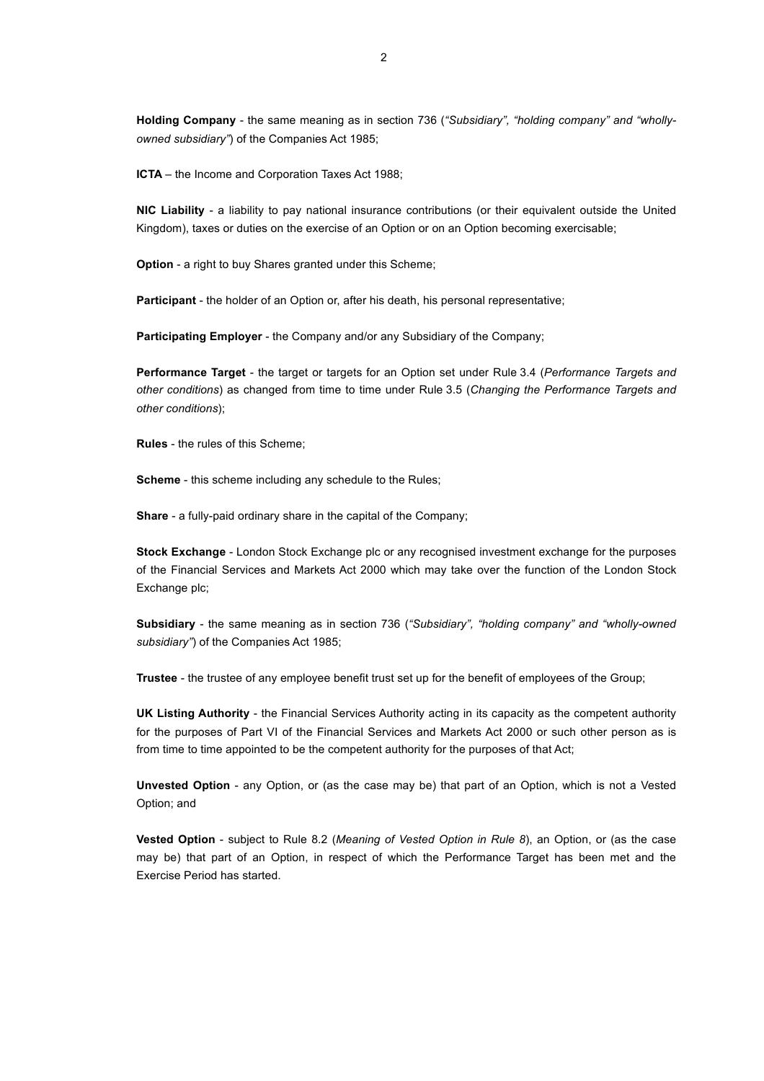**Holding Company** - the same meaning as in section 736 (*"Subsidiary", "holding company" and "whollyowned subsidiary"*) of the Companies Act 1985;

**ICTA** – the Income and Corporation Taxes Act 1988;

**NIC Liability** - a liability to pay national insurance contributions (or their equivalent outside the United Kingdom), taxes or duties on the exercise of an Option or on an Option becoming exercisable;

**Option** - a right to buy Shares granted under this Scheme;

**Participant** - the holder of an Option or, after his death, his personal representative;

**Participating Employer** - the Company and/or any Subsidiary of the Company;

**Performance Target** - the target or targets for an Option set under Rule 3.4 (*Performance Targets and other conditions*) as changed from time to time under Rule 3.5 (*Changing the Performance Targets and other conditions*);

**Rules** - the rules of this Scheme;

**Scheme** - this scheme including any schedule to the Rules;

**Share** - a fully-paid ordinary share in the capital of the Company;

**Stock Exchange** - London Stock Exchange plc or any recognised investment exchange for the purposes of the Financial Services and Markets Act 2000 which may take over the function of the London Stock Exchange plc;

**Subsidiary** - the same meaning as in section 736 (*"Subsidiary", "holding company" and "wholly-owned subsidiary"*) of the Companies Act 1985;

**Trustee** - the trustee of any employee benefit trust set up for the benefit of employees of the Group;

**UK Listing Authority** - the Financial Services Authority acting in its capacity as the competent authority for the purposes of Part VI of the Financial Services and Markets Act 2000 or such other person as is from time to time appointed to be the competent authority for the purposes of that Act;

**Unvested Option** - any Option, or (as the case may be) that part of an Option, which is not a Vested Option; and

**Vested Option** - subject to Rule 8.2 (*Meaning of Vested Option in Rule 8*), an Option, or (as the case may be) that part of an Option, in respect of which the Performance Target has been met and the Exercise Period has started.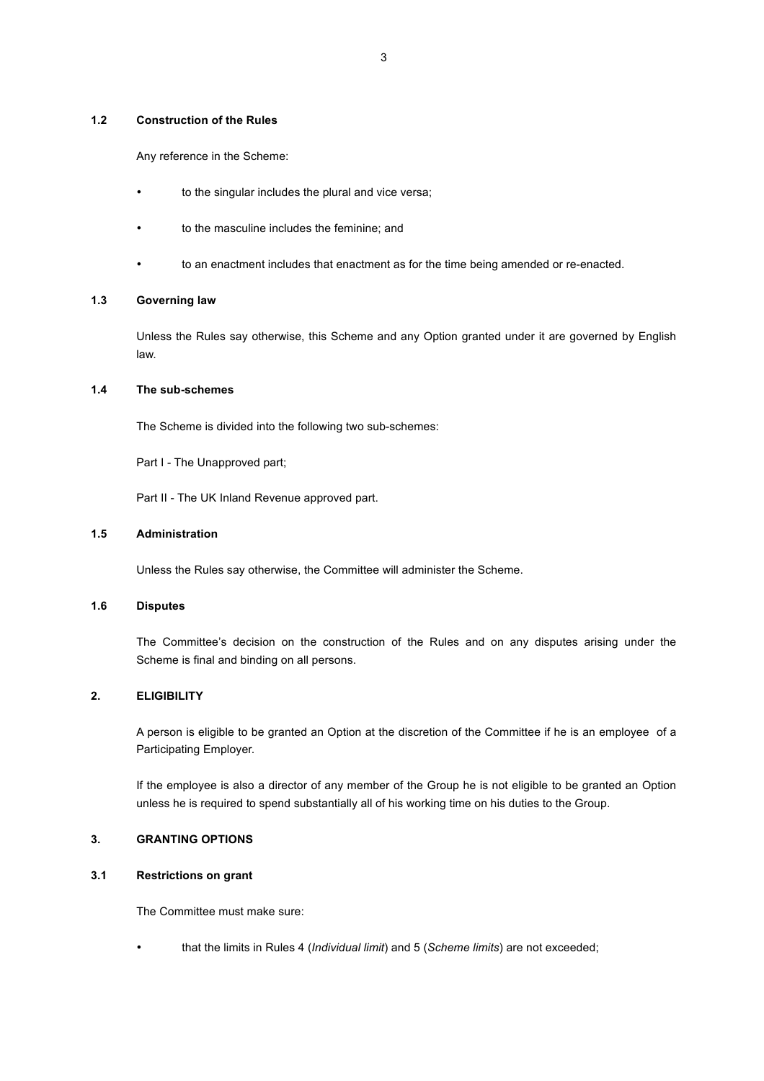# **1.2 Construction of the Rules**

Any reference in the Scheme:

- to the singular includes the plural and vice versa;
- to the masculine includes the feminine; and
- to an enactment includes that enactment as for the time being amended or re-enacted.

#### **1.3 Governing law**

Unless the Rules say otherwise, this Scheme and any Option granted under it are governed by English law.

# **1.4 The sub-schemes**

The Scheme is divided into the following two sub-schemes:

Part I - The Unapproved part:

Part II - The UK Inland Revenue approved part.

#### **1.5 Administration**

Unless the Rules say otherwise, the Committee will administer the Scheme.

#### **1.6 Disputes**

The Committee's decision on the construction of the Rules and on any disputes arising under the Scheme is final and binding on all persons.

# **2. ELIGIBILITY**

A person is eligible to be granted an Option at the discretion of the Committee if he is an employee of a Participating Employer.

If the employee is also a director of any member of the Group he is not eligible to be granted an Option unless he is required to spend substantially all of his working time on his duties to the Group.

# **3. GRANTING OPTIONS**

#### **3.1 Restrictions on grant**

The Committee must make sure:

• that the limits in Rules 4 (*Individual limit*) and 5 (*Scheme limits*) are not exceeded;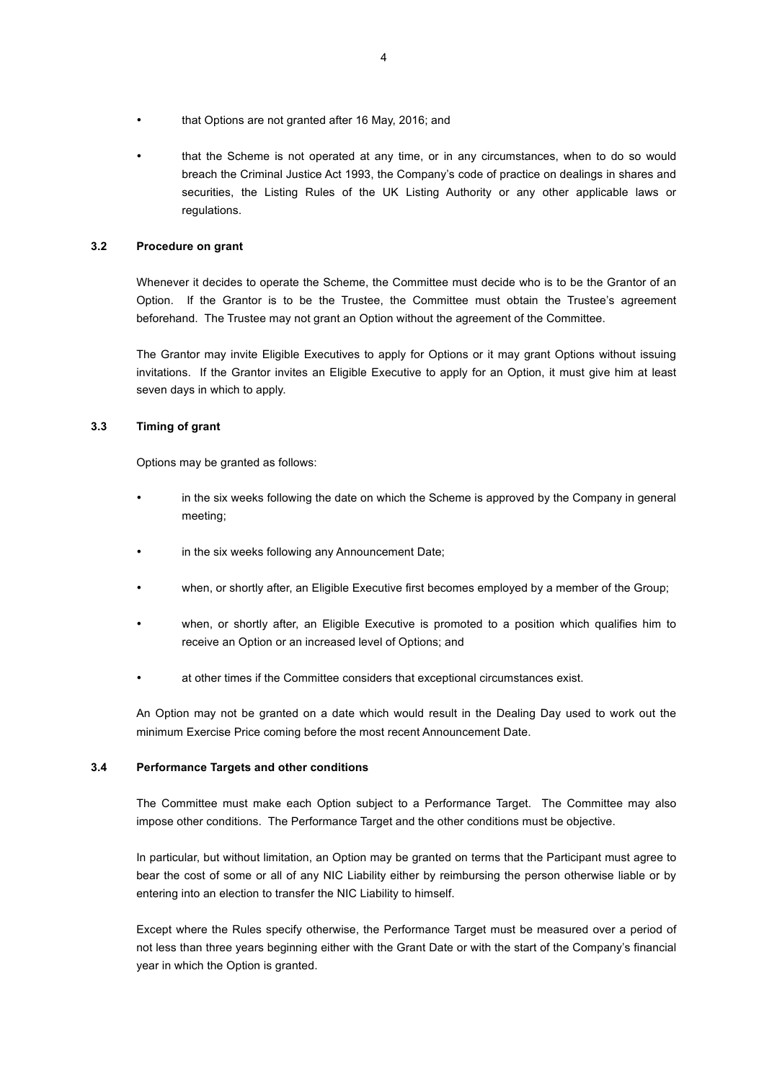- that Options are not granted after 16 May, 2016; and
- that the Scheme is not operated at any time, or in any circumstances, when to do so would breach the Criminal Justice Act 1993, the Company's code of practice on dealings in shares and securities, the Listing Rules of the UK Listing Authority or any other applicable laws or regulations.

# **3.2 Procedure on grant**

Whenever it decides to operate the Scheme, the Committee must decide who is to be the Grantor of an Option. If the Grantor is to be the Trustee, the Committee must obtain the Trustee's agreement beforehand. The Trustee may not grant an Option without the agreement of the Committee.

The Grantor may invite Eligible Executives to apply for Options or it may grant Options without issuing invitations. If the Grantor invites an Eligible Executive to apply for an Option, it must give him at least seven days in which to apply.

### **3.3 Timing of grant**

Options may be granted as follows:

- in the six weeks following the date on which the Scheme is approved by the Company in general meeting;
- in the six weeks following any Announcement Date;
- when, or shortly after, an Eligible Executive first becomes employed by a member of the Group;
- when, or shortly after, an Eligible Executive is promoted to a position which qualifies him to receive an Option or an increased level of Options; and
- at other times if the Committee considers that exceptional circumstances exist.

An Option may not be granted on a date which would result in the Dealing Day used to work out the minimum Exercise Price coming before the most recent Announcement Date.

#### **3.4 Performance Targets and other conditions**

The Committee must make each Option subject to a Performance Target. The Committee may also impose other conditions. The Performance Target and the other conditions must be objective.

In particular, but without limitation, an Option may be granted on terms that the Participant must agree to bear the cost of some or all of any NIC Liability either by reimbursing the person otherwise liable or by entering into an election to transfer the NIC Liability to himself.

Except where the Rules specify otherwise, the Performance Target must be measured over a period of not less than three years beginning either with the Grant Date or with the start of the Company's financial year in which the Option is granted.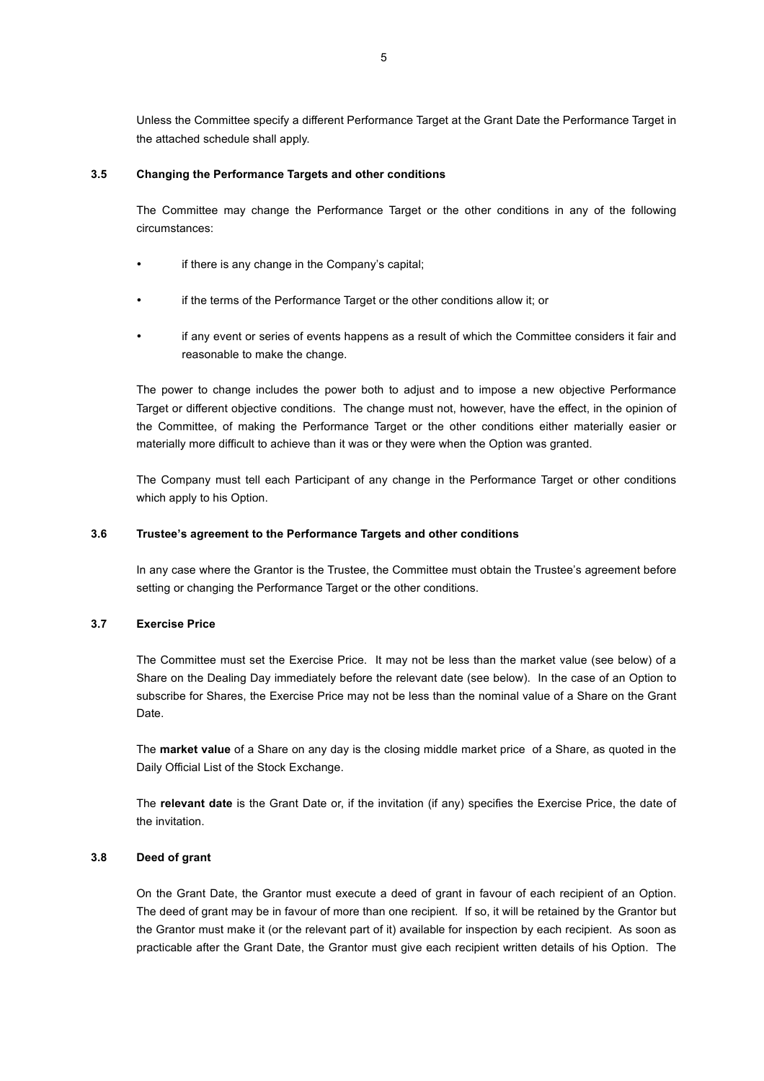Unless the Committee specify a different Performance Target at the Grant Date the Performance Target in the attached schedule shall apply.

### **3.5 Changing the Performance Targets and other conditions**

The Committee may change the Performance Target or the other conditions in any of the following circumstances:

- if there is any change in the Company's capital;
- if the terms of the Performance Target or the other conditions allow it; or
- if any event or series of events happens as a result of which the Committee considers it fair and reasonable to make the change.

The power to change includes the power both to adjust and to impose a new objective Performance Target or different objective conditions. The change must not, however, have the effect, in the opinion of the Committee, of making the Performance Target or the other conditions either materially easier or materially more difficult to achieve than it was or they were when the Option was granted.

The Company must tell each Participant of any change in the Performance Target or other conditions which apply to his Option.

#### **3.6 Trustee's agreement to the Performance Targets and other conditions**

In any case where the Grantor is the Trustee, the Committee must obtain the Trustee's agreement before setting or changing the Performance Target or the other conditions.

### **3.7 Exercise Price**

The Committee must set the Exercise Price. It may not be less than the market value (see below) of a Share on the Dealing Day immediately before the relevant date (see below). In the case of an Option to subscribe for Shares, the Exercise Price may not be less than the nominal value of a Share on the Grant Date.

The **market value** of a Share on any day is the closing middle market price of a Share, as quoted in the Daily Official List of the Stock Exchange.

The **relevant date** is the Grant Date or, if the invitation (if any) specifies the Exercise Price, the date of the invitation.

#### **3.8 Deed of grant**

On the Grant Date, the Grantor must execute a deed of grant in favour of each recipient of an Option. The deed of grant may be in favour of more than one recipient. If so, it will be retained by the Grantor but the Grantor must make it (or the relevant part of it) available for inspection by each recipient. As soon as practicable after the Grant Date, the Grantor must give each recipient written details of his Option. The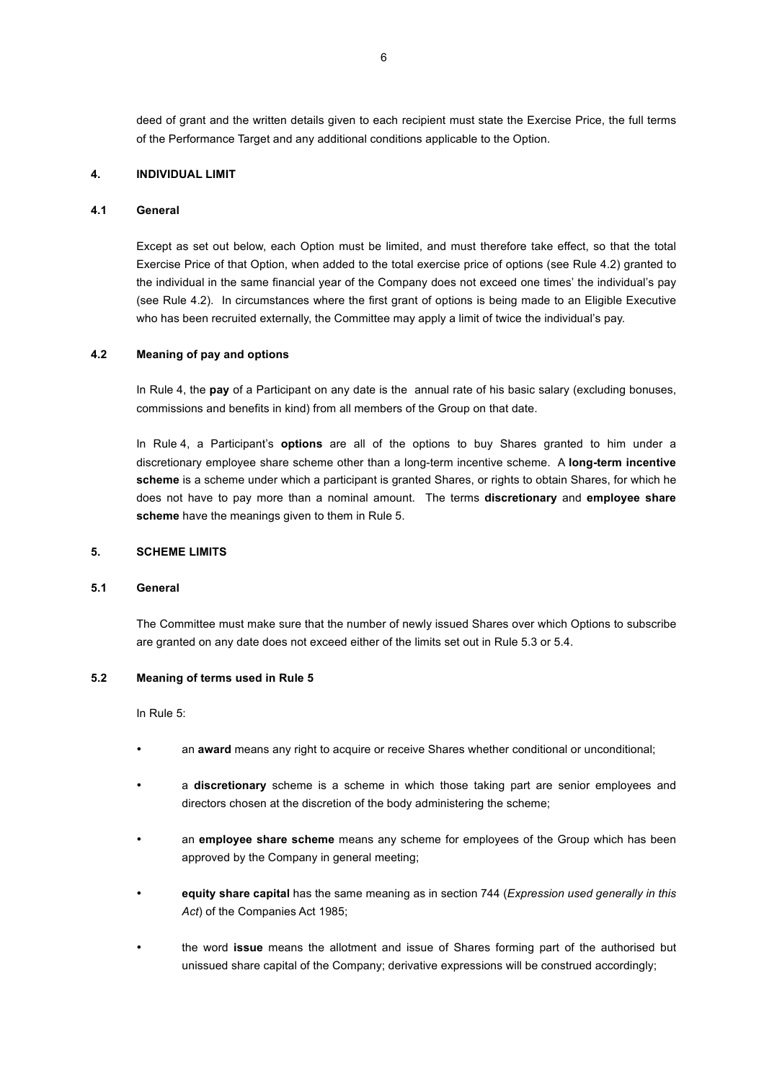deed of grant and the written details given to each recipient must state the Exercise Price, the full terms of the Performance Target and any additional conditions applicable to the Option.

### **4. INDIVIDUAL LIMIT**

### **4.1 General**

Except as set out below, each Option must be limited, and must therefore take effect, so that the total Exercise Price of that Option, when added to the total exercise price of options (see Rule 4.2) granted to the individual in the same financial year of the Company does not exceed one times' the individual's pay (see Rule 4.2). In circumstances where the first grant of options is being made to an Eligible Executive who has been recruited externally, the Committee may apply a limit of twice the individual's pay.

#### **4.2 Meaning of pay and options**

In Rule 4, the **pay** of a Participant on any date is the annual rate of his basic salary (excluding bonuses, commissions and benefits in kind) from all members of the Group on that date.

In Rule 4, a Participant's **options** are all of the options to buy Shares granted to him under a discretionary employee share scheme other than a long-term incentive scheme. A **long-term incentive scheme** is a scheme under which a participant is granted Shares, or rights to obtain Shares, for which he does not have to pay more than a nominal amount. The terms **discretionary** and **employee share scheme** have the meanings given to them in Rule 5.

#### **5. SCHEME LIMITS**

#### **5.1 General**

The Committee must make sure that the number of newly issued Shares over which Options to subscribe are granted on any date does not exceed either of the limits set out in Rule 5.3 or 5.4.

#### **5.2 Meaning of terms used in Rule 5**

In Rule 5:

- an **award** means any right to acquire or receive Shares whether conditional or unconditional;
- a **discretionary** scheme is a scheme in which those taking part are senior employees and directors chosen at the discretion of the body administering the scheme;
- an **employee share scheme** means any scheme for employees of the Group which has been approved by the Company in general meeting;
- **equity share capital** has the same meaning as in section 744 (*Expression used generally in this Act*) of the Companies Act 1985;
- the word **issue** means the allotment and issue of Shares forming part of the authorised but unissued share capital of the Company; derivative expressions will be construed accordingly;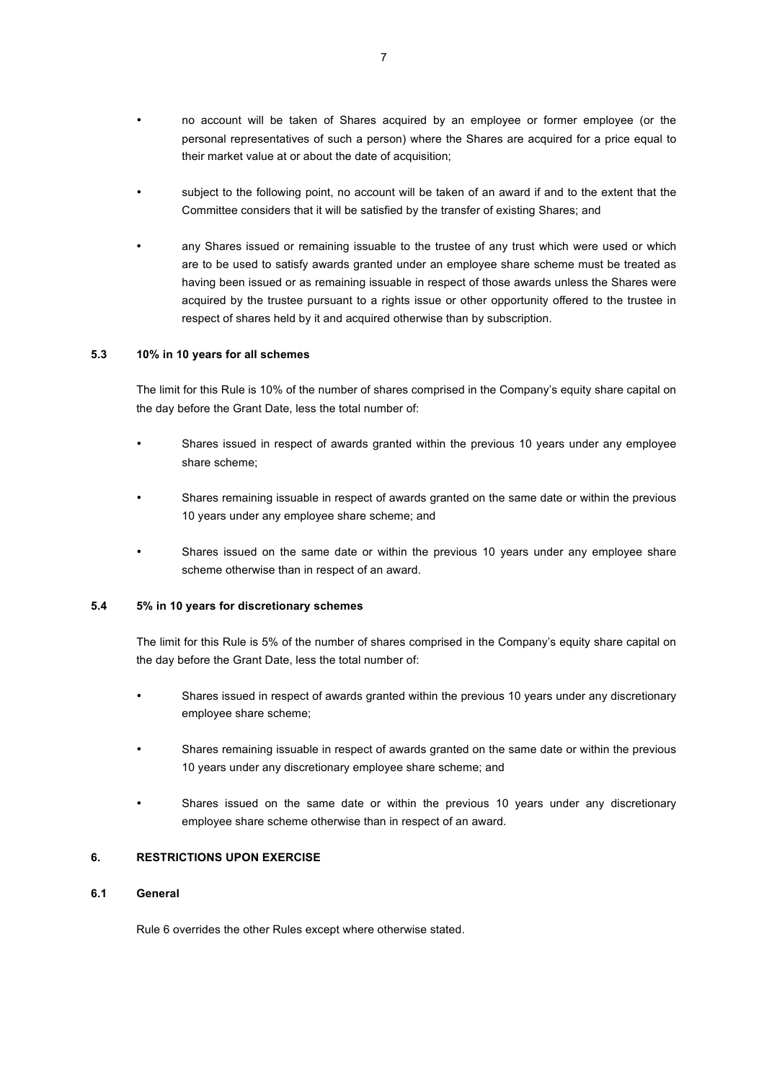- no account will be taken of Shares acquired by an employee or former employee (or the personal representatives of such a person) where the Shares are acquired for a price equal to their market value at or about the date of acquisition;
- subject to the following point, no account will be taken of an award if and to the extent that the Committee considers that it will be satisfied by the transfer of existing Shares; and
- any Shares issued or remaining issuable to the trustee of any trust which were used or which are to be used to satisfy awards granted under an employee share scheme must be treated as having been issued or as remaining issuable in respect of those awards unless the Shares were acquired by the trustee pursuant to a rights issue or other opportunity offered to the trustee in respect of shares held by it and acquired otherwise than by subscription.

#### **5.3 10% in 10 years for all schemes**

The limit for this Rule is 10% of the number of shares comprised in the Company's equity share capital on the day before the Grant Date, less the total number of:

- Shares issued in respect of awards granted within the previous 10 years under any employee share scheme;
- Shares remaining issuable in respect of awards granted on the same date or within the previous 10 years under any employee share scheme; and
- Shares issued on the same date or within the previous 10 years under any employee share scheme otherwise than in respect of an award.

#### **5.4 5% in 10 years for discretionary schemes**

The limit for this Rule is 5% of the number of shares comprised in the Company's equity share capital on the day before the Grant Date, less the total number of:

- Shares issued in respect of awards granted within the previous 10 years under any discretionary employee share scheme;
- Shares remaining issuable in respect of awards granted on the same date or within the previous 10 years under any discretionary employee share scheme; and
- Shares issued on the same date or within the previous 10 years under any discretionary employee share scheme otherwise than in respect of an award.

#### **6. RESTRICTIONS UPON EXERCISE**

# **6.1 General**

Rule 6 overrides the other Rules except where otherwise stated.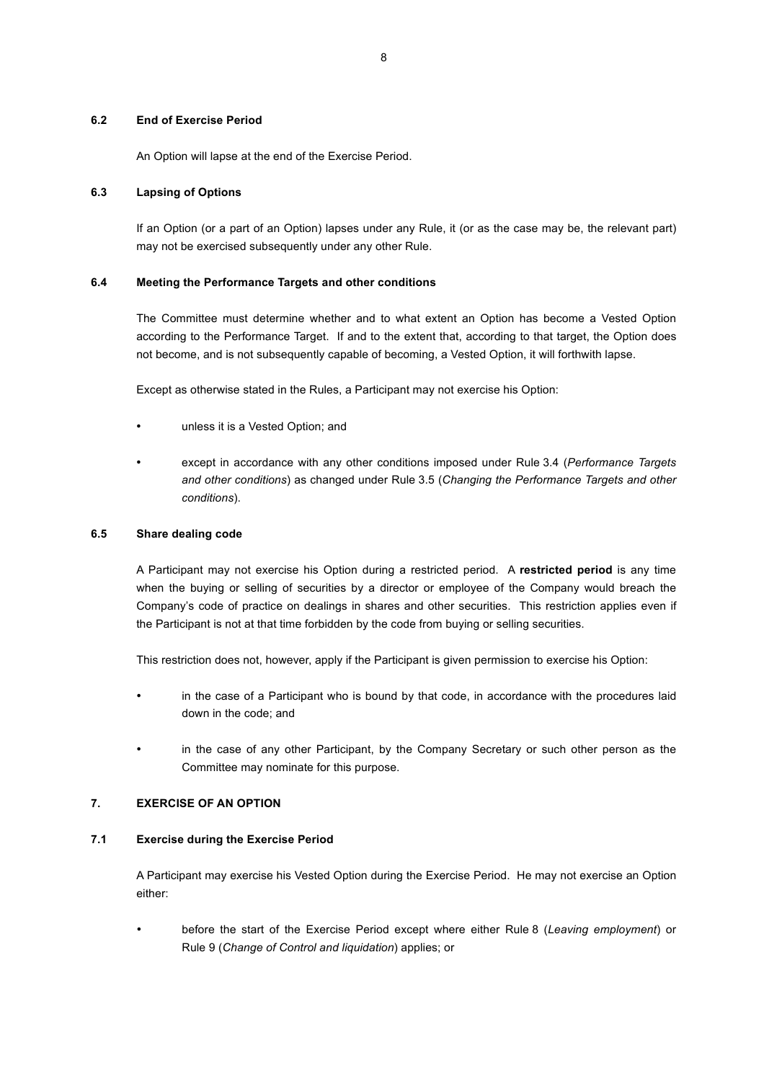#### **6.2 End of Exercise Period**

An Option will lapse at the end of the Exercise Period.

### **6.3 Lapsing of Options**

If an Option (or a part of an Option) lapses under any Rule, it (or as the case may be, the relevant part) may not be exercised subsequently under any other Rule.

### **6.4 Meeting the Performance Targets and other conditions**

The Committee must determine whether and to what extent an Option has become a Vested Option according to the Performance Target. If and to the extent that, according to that target, the Option does not become, and is not subsequently capable of becoming, a Vested Option, it will forthwith lapse.

Except as otherwise stated in the Rules, a Participant may not exercise his Option:

- unless it is a Vested Option; and
- except in accordance with any other conditions imposed under Rule 3.4 (*Performance Targets and other conditions*) as changed under Rule 3.5 (*Changing the Performance Targets and other conditions*).

### **6.5 Share dealing code**

A Participant may not exercise his Option during a restricted period. A **restricted period** is any time when the buying or selling of securities by a director or employee of the Company would breach the Company's code of practice on dealings in shares and other securities. This restriction applies even if the Participant is not at that time forbidden by the code from buying or selling securities.

This restriction does not, however, apply if the Participant is given permission to exercise his Option:

- in the case of a Participant who is bound by that code, in accordance with the procedures laid down in the code; and
- in the case of any other Participant, by the Company Secretary or such other person as the Committee may nominate for this purpose.

# **7. EXERCISE OF AN OPTION**

# **7.1 Exercise during the Exercise Period**

A Participant may exercise his Vested Option during the Exercise Period. He may not exercise an Option either:

• before the start of the Exercise Period except where either Rule 8 (*Leaving employment*) or Rule 9 (*Change of Control and liquidation*) applies; or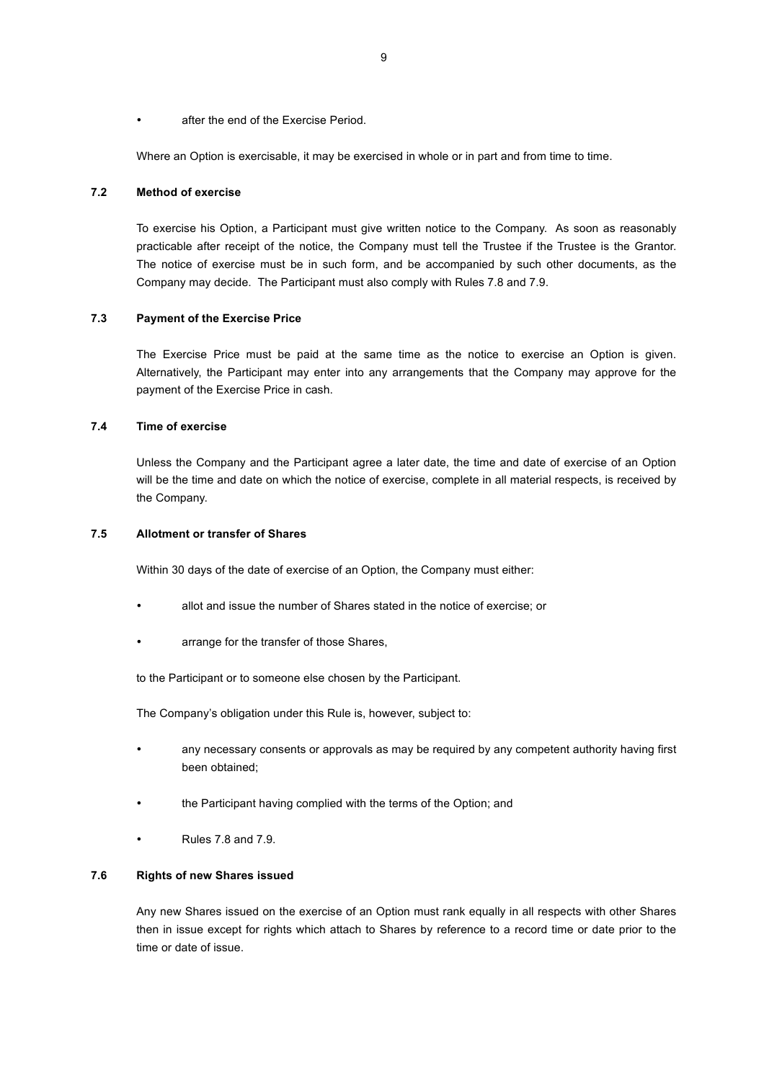• after the end of the Exercise Period.

Where an Option is exercisable, it may be exercised in whole or in part and from time to time.

### **7.2 Method of exercise**

To exercise his Option, a Participant must give written notice to the Company. As soon as reasonably practicable after receipt of the notice, the Company must tell the Trustee if the Trustee is the Grantor. The notice of exercise must be in such form, and be accompanied by such other documents, as the Company may decide. The Participant must also comply with Rules 7.8 and 7.9.

### **7.3 Payment of the Exercise Price**

The Exercise Price must be paid at the same time as the notice to exercise an Option is given. Alternatively, the Participant may enter into any arrangements that the Company may approve for the payment of the Exercise Price in cash.

# **7.4 Time of exercise**

Unless the Company and the Participant agree a later date, the time and date of exercise of an Option will be the time and date on which the notice of exercise, complete in all material respects, is received by the Company.

#### **7.5 Allotment or transfer of Shares**

Within 30 days of the date of exercise of an Option, the Company must either:

- allot and issue the number of Shares stated in the notice of exercise; or
- arrange for the transfer of those Shares,

to the Participant or to someone else chosen by the Participant.

The Company's obligation under this Rule is, however, subject to:

- any necessary consents or approvals as may be required by any competent authority having first been obtained;
- the Participant having complied with the terms of the Option; and
- Rules 7.8 and 7.9.

#### **7.6 Rights of new Shares issued**

Any new Shares issued on the exercise of an Option must rank equally in all respects with other Shares then in issue except for rights which attach to Shares by reference to a record time or date prior to the time or date of issue.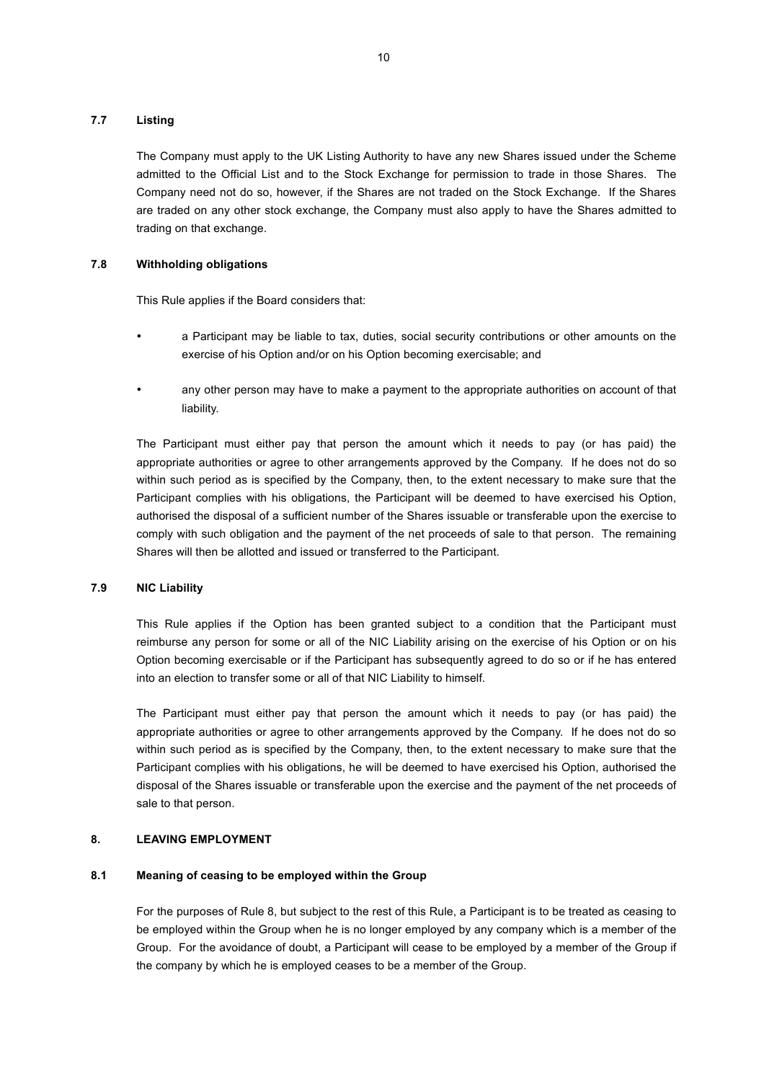### **7.7 Listing**

The Company must apply to the UK Listing Authority to have any new Shares issued under the Scheme admitted to the Official List and to the Stock Exchange for permission to trade in those Shares. The Company need not do so, however, if the Shares are not traded on the Stock Exchange. If the Shares are traded on any other stock exchange, the Company must also apply to have the Shares admitted to trading on that exchange.

# **7.8 Withholding obligations**

This Rule applies if the Board considers that:

- a Participant may be liable to tax, duties, social security contributions or other amounts on the exercise of his Option and/or on his Option becoming exercisable; and
- any other person may have to make a payment to the appropriate authorities on account of that liability.

The Participant must either pay that person the amount which it needs to pay (or has paid) the appropriate authorities or agree to other arrangements approved by the Company. If he does not do so within such period as is specified by the Company, then, to the extent necessary to make sure that the Participant complies with his obligations, the Participant will be deemed to have exercised his Option, authorised the disposal of a sufficient number of the Shares issuable or transferable upon the exercise to comply with such obligation and the payment of the net proceeds of sale to that person. The remaining Shares will then be allotted and issued or transferred to the Participant.

# **7.9 NIC Liability**

This Rule applies if the Option has been granted subject to a condition that the Participant must reimburse any person for some or all of the NIC Liability arising on the exercise of his Option or on his Option becoming exercisable or if the Participant has subsequently agreed to do so or if he has entered into an election to transfer some or all of that NIC Liability to himself.

The Participant must either pay that person the amount which it needs to pay (or has paid) the appropriate authorities or agree to other arrangements approved by the Company. If he does not do so within such period as is specified by the Company, then, to the extent necessary to make sure that the Participant complies with his obligations, he will be deemed to have exercised his Option, authorised the disposal of the Shares issuable or transferable upon the exercise and the payment of the net proceeds of sale to that person.

# **8. LEAVING EMPLOYMENT**

#### **8.1 Meaning of ceasing to be employed within the Group**

For the purposes of Rule 8, but subject to the rest of this Rule, a Participant is to be treated as ceasing to be employed within the Group when he is no longer employed by any company which is a member of the Group. For the avoidance of doubt, a Participant will cease to be employed by a member of the Group if the company by which he is employed ceases to be a member of the Group.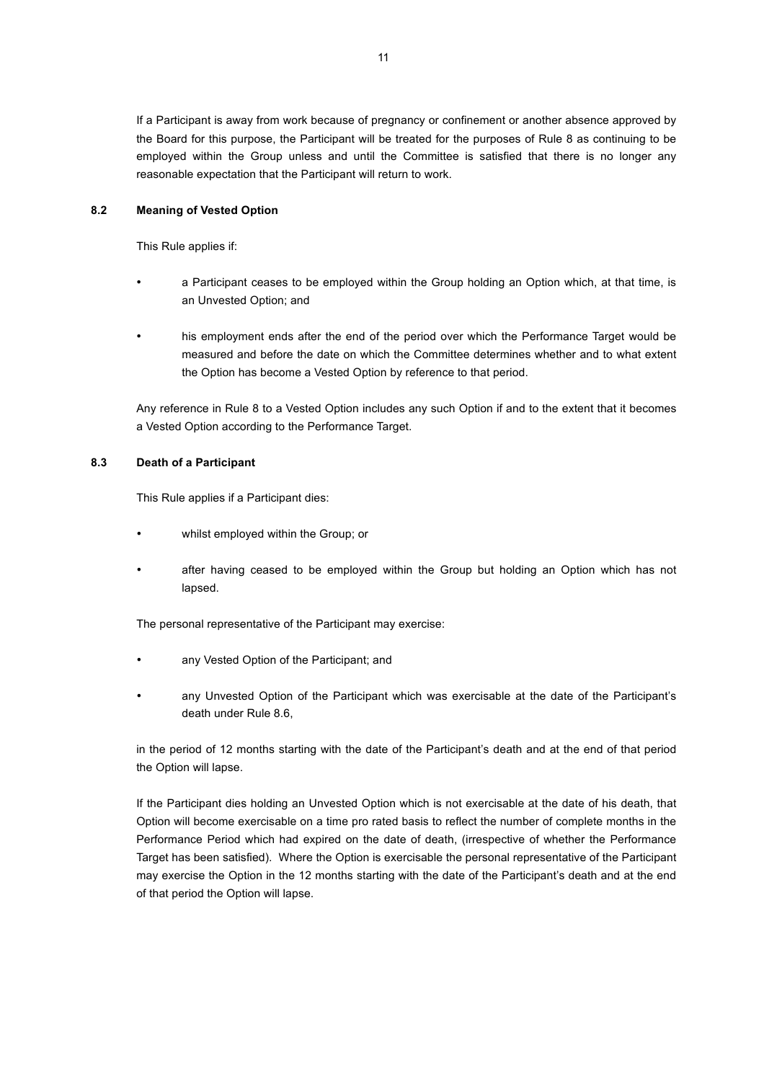If a Participant is away from work because of pregnancy or confinement or another absence approved by the Board for this purpose, the Participant will be treated for the purposes of Rule 8 as continuing to be employed within the Group unless and until the Committee is satisfied that there is no longer any reasonable expectation that the Participant will return to work.

# **8.2 Meaning of Vested Option**

This Rule applies if:

- a Participant ceases to be employed within the Group holding an Option which, at that time, is an Unvested Option; and
- his employment ends after the end of the period over which the Performance Target would be measured and before the date on which the Committee determines whether and to what extent the Option has become a Vested Option by reference to that period.

Any reference in Rule 8 to a Vested Option includes any such Option if and to the extent that it becomes a Vested Option according to the Performance Target.

# **8.3 Death of a Participant**

This Rule applies if a Participant dies:

- whilst employed within the Group; or
- after having ceased to be employed within the Group but holding an Option which has not lapsed.

The personal representative of the Participant may exercise:

- any Vested Option of the Participant; and
- any Unvested Option of the Participant which was exercisable at the date of the Participant's death under Rule 8.6,

in the period of 12 months starting with the date of the Participant's death and at the end of that period the Option will lapse.

If the Participant dies holding an Unvested Option which is not exercisable at the date of his death, that Option will become exercisable on a time pro rated basis to reflect the number of complete months in the Performance Period which had expired on the date of death, (irrespective of whether the Performance Target has been satisfied). Where the Option is exercisable the personal representative of the Participant may exercise the Option in the 12 months starting with the date of the Participant's death and at the end of that period the Option will lapse.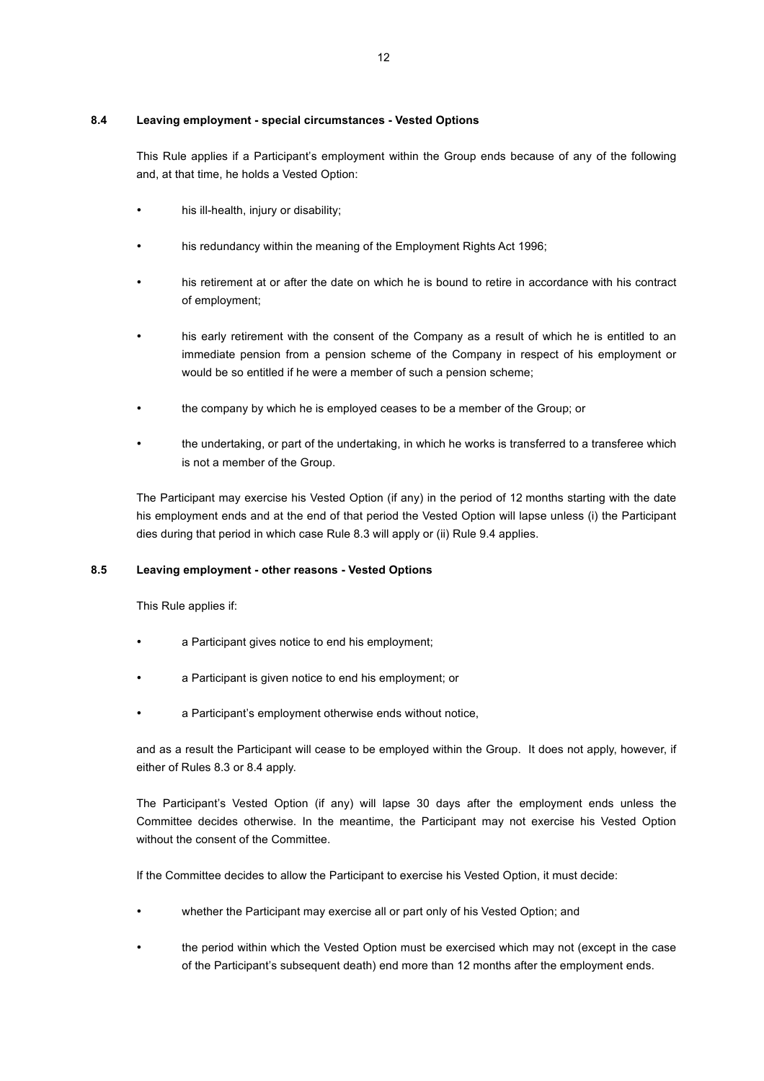#### **8.4 Leaving employment - special circumstances - Vested Options**

This Rule applies if a Participant's employment within the Group ends because of any of the following and, at that time, he holds a Vested Option:

- his ill-health, injury or disability;
- his redundancy within the meaning of the Employment Rights Act 1996;
- his retirement at or after the date on which he is bound to retire in accordance with his contract of employment;
- his early retirement with the consent of the Company as a result of which he is entitled to an immediate pension from a pension scheme of the Company in respect of his employment or would be so entitled if he were a member of such a pension scheme;
- the company by which he is employed ceases to be a member of the Group; or
- the undertaking, or part of the undertaking, in which he works is transferred to a transferee which is not a member of the Group.

The Participant may exercise his Vested Option (if any) in the period of 12 months starting with the date his employment ends and at the end of that period the Vested Option will lapse unless (i) the Participant dies during that period in which case Rule 8.3 will apply or (ii) Rule 9.4 applies.

# **8.5 Leaving employment - other reasons - Vested Options**

This Rule applies if:

- a Participant gives notice to end his employment;
- a Participant is given notice to end his employment; or
- a Participant's employment otherwise ends without notice,

and as a result the Participant will cease to be employed within the Group. It does not apply, however, if either of Rules 8.3 or 8.4 apply.

The Participant's Vested Option (if any) will lapse 30 days after the employment ends unless the Committee decides otherwise. In the meantime, the Participant may not exercise his Vested Option without the consent of the Committee.

If the Committee decides to allow the Participant to exercise his Vested Option, it must decide:

- whether the Participant may exercise all or part only of his Vested Option; and
- the period within which the Vested Option must be exercised which may not (except in the case of the Participant's subsequent death) end more than 12 months after the employment ends.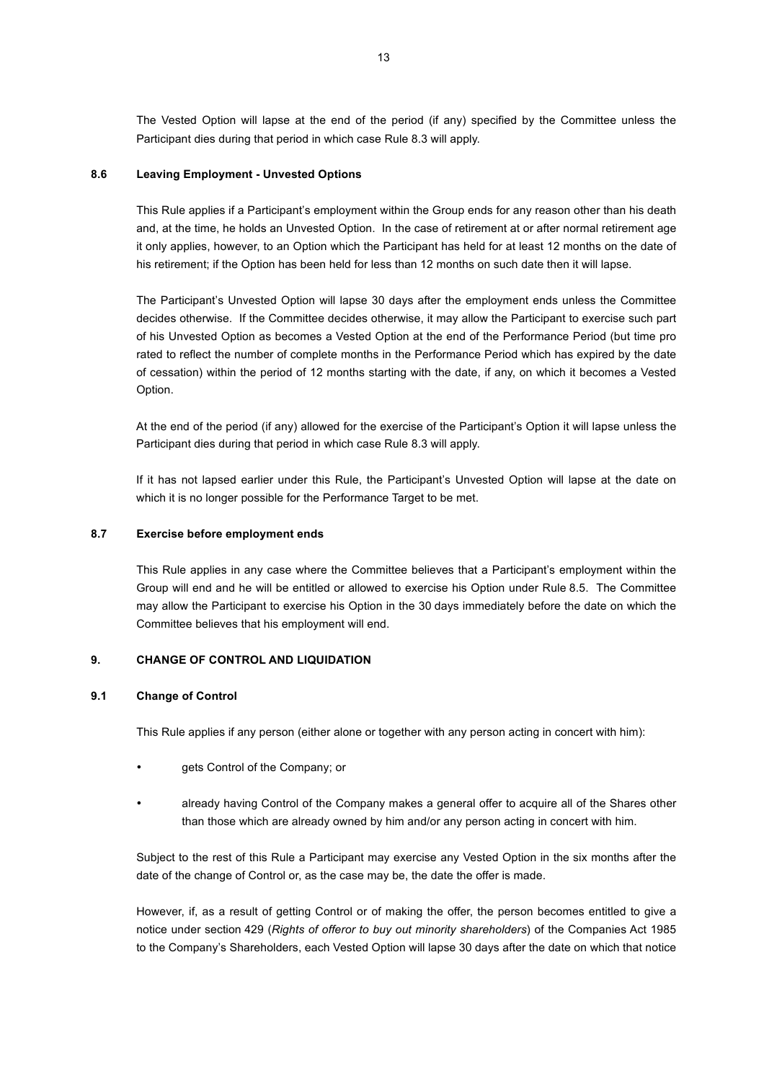The Vested Option will lapse at the end of the period (if any) specified by the Committee unless the Participant dies during that period in which case Rule 8.3 will apply.

### **8.6 Leaving Employment - Unvested Options**

This Rule applies if a Participant's employment within the Group ends for any reason other than his death and, at the time, he holds an Unvested Option. In the case of retirement at or after normal retirement age it only applies, however, to an Option which the Participant has held for at least 12 months on the date of his retirement; if the Option has been held for less than 12 months on such date then it will lapse.

The Participant's Unvested Option will lapse 30 days after the employment ends unless the Committee decides otherwise. If the Committee decides otherwise, it may allow the Participant to exercise such part of his Unvested Option as becomes a Vested Option at the end of the Performance Period (but time pro rated to reflect the number of complete months in the Performance Period which has expired by the date of cessation) within the period of 12 months starting with the date, if any, on which it becomes a Vested Option.

At the end of the period (if any) allowed for the exercise of the Participant's Option it will lapse unless the Participant dies during that period in which case Rule 8.3 will apply.

If it has not lapsed earlier under this Rule, the Participant's Unvested Option will lapse at the date on which it is no longer possible for the Performance Target to be met.

#### **8.7 Exercise before employment ends**

This Rule applies in any case where the Committee believes that a Participant's employment within the Group will end and he will be entitled or allowed to exercise his Option under Rule 8.5. The Committee may allow the Participant to exercise his Option in the 30 days immediately before the date on which the Committee believes that his employment will end.

### **9. CHANGE OF CONTROL AND LIQUIDATION**

### **9.1 Change of Control**

This Rule applies if any person (either alone or together with any person acting in concert with him):

- gets Control of the Company; or
- already having Control of the Company makes a general offer to acquire all of the Shares other than those which are already owned by him and/or any person acting in concert with him.

Subject to the rest of this Rule a Participant may exercise any Vested Option in the six months after the date of the change of Control or, as the case may be, the date the offer is made.

However, if, as a result of getting Control or of making the offer, the person becomes entitled to give a notice under section 429 (*Rights of offeror to buy out minority shareholders*) of the Companies Act 1985 to the Company's Shareholders, each Vested Option will lapse 30 days after the date on which that notice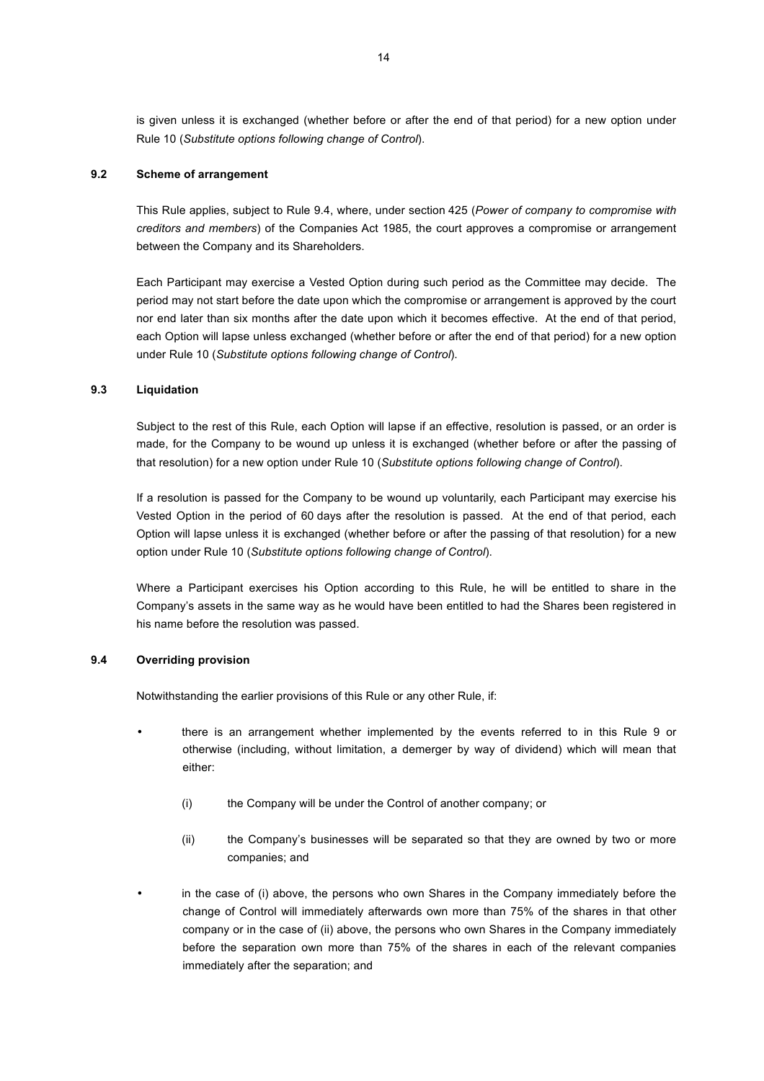is given unless it is exchanged (whether before or after the end of that period) for a new option under Rule 10 (*Substitute options following change of Control*).

### **9.2 Scheme of arrangement**

This Rule applies, subject to Rule 9.4, where, under section 425 (*Power of company to compromise with creditors and members*) of the Companies Act 1985, the court approves a compromise or arrangement between the Company and its Shareholders.

Each Participant may exercise a Vested Option during such period as the Committee may decide. The period may not start before the date upon which the compromise or arrangement is approved by the court nor end later than six months after the date upon which it becomes effective. At the end of that period, each Option will lapse unless exchanged (whether before or after the end of that period) for a new option under Rule 10 (*Substitute options following change of Control*).

### **9.3 Liquidation**

Subject to the rest of this Rule, each Option will lapse if an effective, resolution is passed, or an order is made, for the Company to be wound up unless it is exchanged (whether before or after the passing of that resolution) for a new option under Rule 10 (*Substitute options following change of Control*).

If a resolution is passed for the Company to be wound up voluntarily, each Participant may exercise his Vested Option in the period of 60 days after the resolution is passed. At the end of that period, each Option will lapse unless it is exchanged (whether before or after the passing of that resolution) for a new option under Rule 10 (*Substitute options following change of Control*).

Where a Participant exercises his Option according to this Rule, he will be entitled to share in the Company's assets in the same way as he would have been entitled to had the Shares been registered in his name before the resolution was passed.

# **9.4 Overriding provision**

Notwithstanding the earlier provisions of this Rule or any other Rule, if:

- there is an arrangement whether implemented by the events referred to in this Rule 9 or otherwise (including, without limitation, a demerger by way of dividend) which will mean that either:
	- (i) the Company will be under the Control of another company; or
	- (ii) the Company's businesses will be separated so that they are owned by two or more companies; and
- in the case of (i) above, the persons who own Shares in the Company immediately before the change of Control will immediately afterwards own more than 75% of the shares in that other company or in the case of (ii) above, the persons who own Shares in the Company immediately before the separation own more than 75% of the shares in each of the relevant companies immediately after the separation; and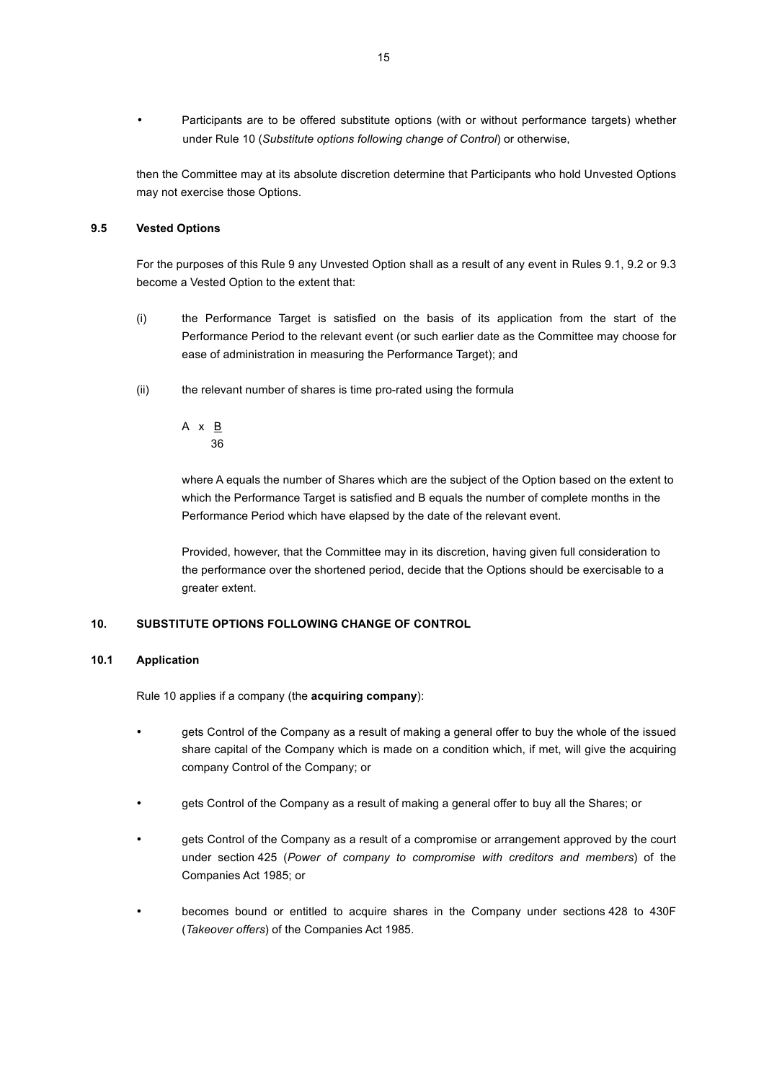• Participants are to be offered substitute options (with or without performance targets) whether under Rule 10 (*Substitute options following change of Control*) or otherwise,

then the Committee may at its absolute discretion determine that Participants who hold Unvested Options may not exercise those Options.

# **9.5 Vested Options**

For the purposes of this Rule 9 any Unvested Option shall as a result of any event in Rules 9.1, 9.2 or 9.3 become a Vested Option to the extent that:

- (i) the Performance Target is satisfied on the basis of its application from the start of the Performance Period to the relevant event (or such earlier date as the Committee may choose for ease of administration in measuring the Performance Target); and
- (ii) the relevant number of shares is time pro-rated using the formula

A  $x \underline{B}$ 36

where A equals the number of Shares which are the subject of the Option based on the extent to which the Performance Target is satisfied and B equals the number of complete months in the Performance Period which have elapsed by the date of the relevant event.

Provided, however, that the Committee may in its discretion, having given full consideration to the performance over the shortened period, decide that the Options should be exercisable to a greater extent.

### **10. SUBSTITUTE OPTIONS FOLLOWING CHANGE OF CONTROL**

### **10.1 Application**

Rule 10 applies if a company (the **acquiring company**):

- gets Control of the Company as a result of making a general offer to buy the whole of the issued share capital of the Company which is made on a condition which, if met, will give the acquiring company Control of the Company; or
- gets Control of the Company as a result of making a general offer to buy all the Shares; or
- gets Control of the Company as a result of a compromise or arrangement approved by the court under section 425 (*Power of company to compromise with creditors and members*) of the Companies Act 1985; or
- becomes bound or entitled to acquire shares in the Company under sections 428 to 430F (*Takeover offers*) of the Companies Act 1985.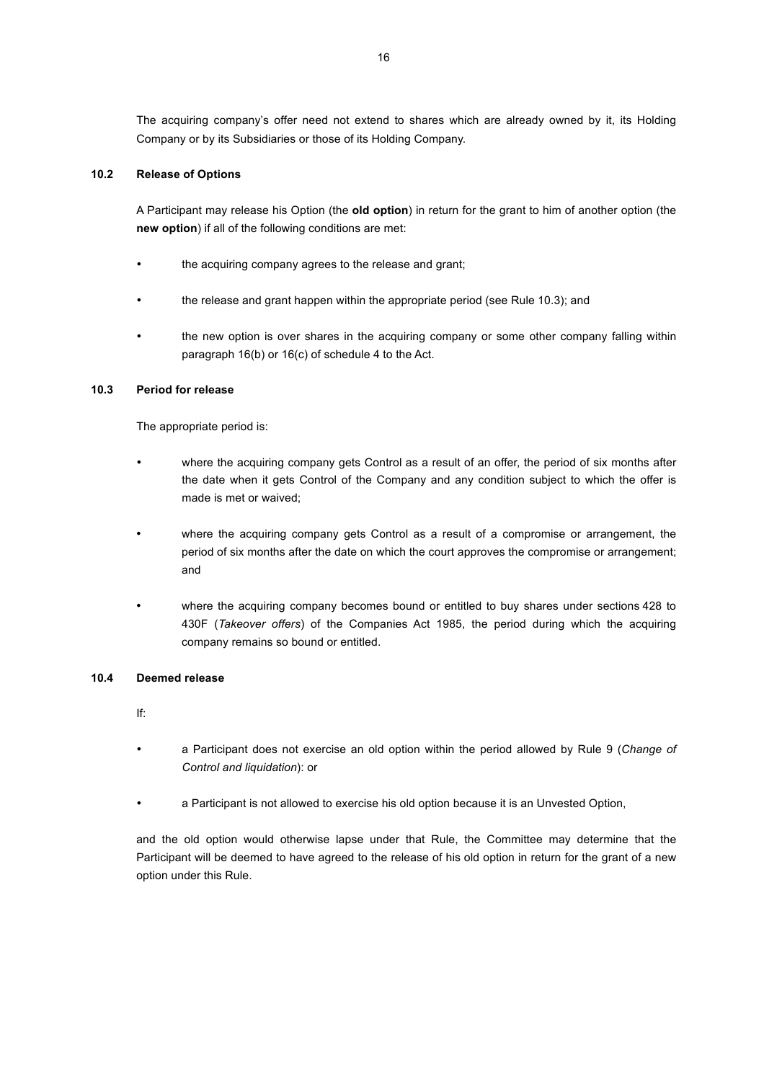The acquiring company's offer need not extend to shares which are already owned by it, its Holding Company or by its Subsidiaries or those of its Holding Company.

# **10.2 Release of Options**

A Participant may release his Option (the **old option**) in return for the grant to him of another option (the **new option**) if all of the following conditions are met:

- the acquiring company agrees to the release and grant;
- the release and grant happen within the appropriate period (see Rule 10.3); and
- the new option is over shares in the acquiring company or some other company falling within paragraph 16(b) or 16(c) of schedule 4 to the Act.

### **10.3 Period for release**

The appropriate period is:

- where the acquiring company gets Control as a result of an offer, the period of six months after the date when it gets Control of the Company and any condition subject to which the offer is made is met or waived;
- where the acquiring company gets Control as a result of a compromise or arrangement, the period of six months after the date on which the court approves the compromise or arrangement; and
- where the acquiring company becomes bound or entitled to buy shares under sections 428 to 430F (*Takeover offers*) of the Companies Act 1985, the period during which the acquiring company remains so bound or entitled.

#### **10.4 Deemed release**

If:

- a Participant does not exercise an old option within the period allowed by Rule 9 (*Change of Control and liquidation*): or
- a Participant is not allowed to exercise his old option because it is an Unvested Option,

and the old option would otherwise lapse under that Rule, the Committee may determine that the Participant will be deemed to have agreed to the release of his old option in return for the grant of a new option under this Rule.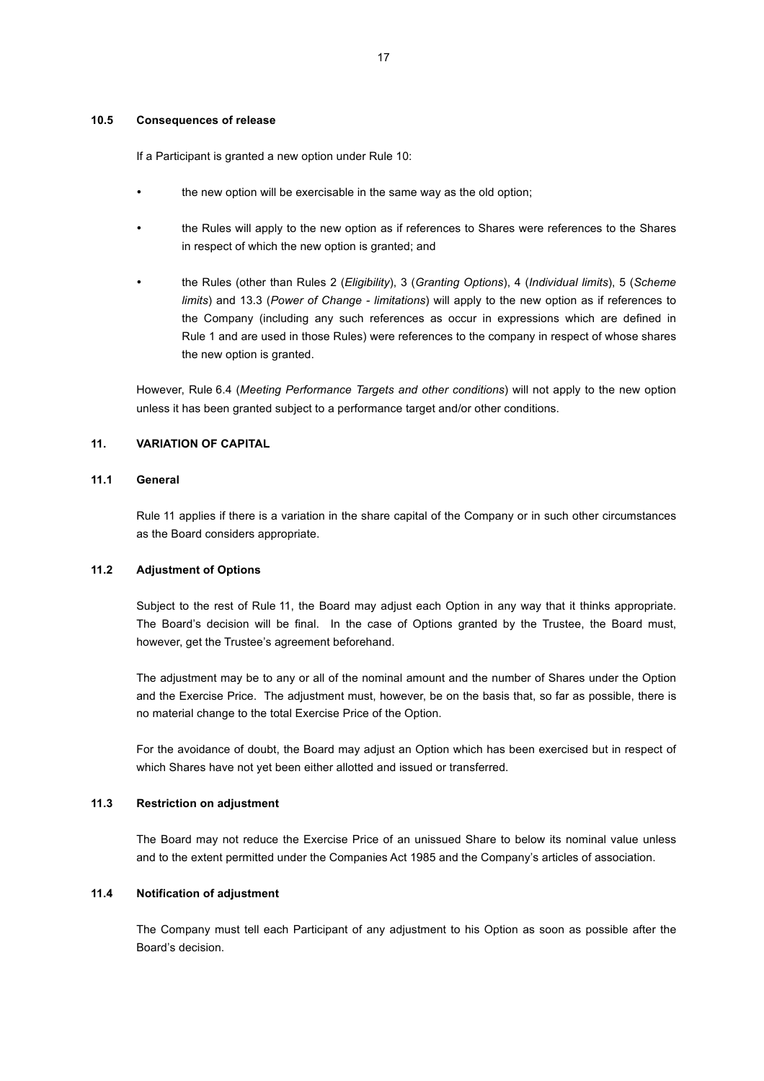#### **10.5 Consequences of release**

If a Participant is granted a new option under Rule 10:

- the new option will be exercisable in the same way as the old option;
- the Rules will apply to the new option as if references to Shares were references to the Shares in respect of which the new option is granted; and
- the Rules (other than Rules 2 (*Eligibility*), 3 (*Granting Options*), 4 (*Individual limits*), 5 (*Scheme limits*) and 13.3 (*Power of Change - limitations*) will apply to the new option as if references to the Company (including any such references as occur in expressions which are defined in Rule 1 and are used in those Rules) were references to the company in respect of whose shares the new option is granted.

However, Rule 6.4 (*Meeting Performance Targets and other conditions*) will not apply to the new option unless it has been granted subject to a performance target and/or other conditions.

# **11. VARIATION OF CAPITAL**

# **11.1 General**

Rule 11 applies if there is a variation in the share capital of the Company or in such other circumstances as the Board considers appropriate.

# **11.2 Adjustment of Options**

Subject to the rest of Rule 11, the Board may adjust each Option in any way that it thinks appropriate. The Board's decision will be final. In the case of Options granted by the Trustee, the Board must, however, get the Trustee's agreement beforehand.

The adjustment may be to any or all of the nominal amount and the number of Shares under the Option and the Exercise Price. The adjustment must, however, be on the basis that, so far as possible, there is no material change to the total Exercise Price of the Option.

For the avoidance of doubt, the Board may adjust an Option which has been exercised but in respect of which Shares have not yet been either allotted and issued or transferred.

#### **11.3 Restriction on adjustment**

The Board may not reduce the Exercise Price of an unissued Share to below its nominal value unless and to the extent permitted under the Companies Act 1985 and the Company's articles of association.

#### **11.4 Notification of adjustment**

The Company must tell each Participant of any adjustment to his Option as soon as possible after the Board's decision.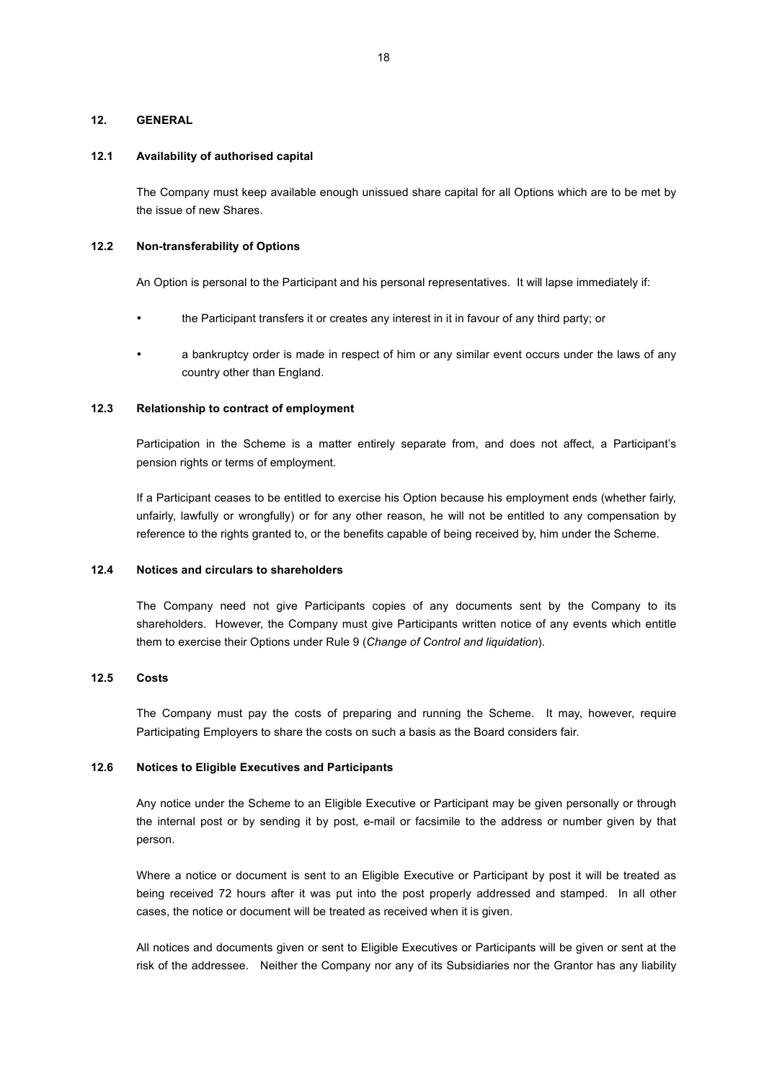#### **12. GENERAL**

#### **12.1 Availability of authorised capital**

The Company must keep available enough unissued share capital for all Options which are to be met by the issue of new Shares.

# **12.2 Non-transferability of Options**

An Option is personal to the Participant and his personal representatives. It will lapse immediately if:

- the Participant transfers it or creates any interest in it in favour of any third party; or
- a bankruptcy order is made in respect of him or any similar event occurs under the laws of any country other than England.

### **12.3 Relationship to contract of employment**

Participation in the Scheme is a matter entirely separate from, and does not affect, a Participant's pension rights or terms of employment.

If a Participant ceases to be entitled to exercise his Option because his employment ends (whether fairly, unfairly, lawfully or wrongfully) or for any other reason, he will not be entitled to any compensation by reference to the rights granted to, or the benefits capable of being received by, him under the Scheme.

# **12.4 Notices and circulars to shareholders**

The Company need not give Participants copies of any documents sent by the Company to its shareholders. However, the Company must give Participants written notice of any events which entitle them to exercise their Options under Rule 9 (*Change of Control and liquidation*).

#### **12.5 Costs**

The Company must pay the costs of preparing and running the Scheme. It may, however, require Participating Employers to share the costs on such a basis as the Board considers fair.

#### **12.6 Notices to Eligible Executives and Participants**

Any notice under the Scheme to an Eligible Executive or Participant may be given personally or through the internal post or by sending it by post, e-mail or facsimile to the address or number given by that person.

Where a notice or document is sent to an Eligible Executive or Participant by post it will be treated as being received 72 hours after it was put into the post properly addressed and stamped. In all other cases, the notice or document will be treated as received when it is given.

All notices and documents given or sent to Eligible Executives or Participants will be given or sent at the risk of the addressee. Neither the Company nor any of its Subsidiaries nor the Grantor has any liability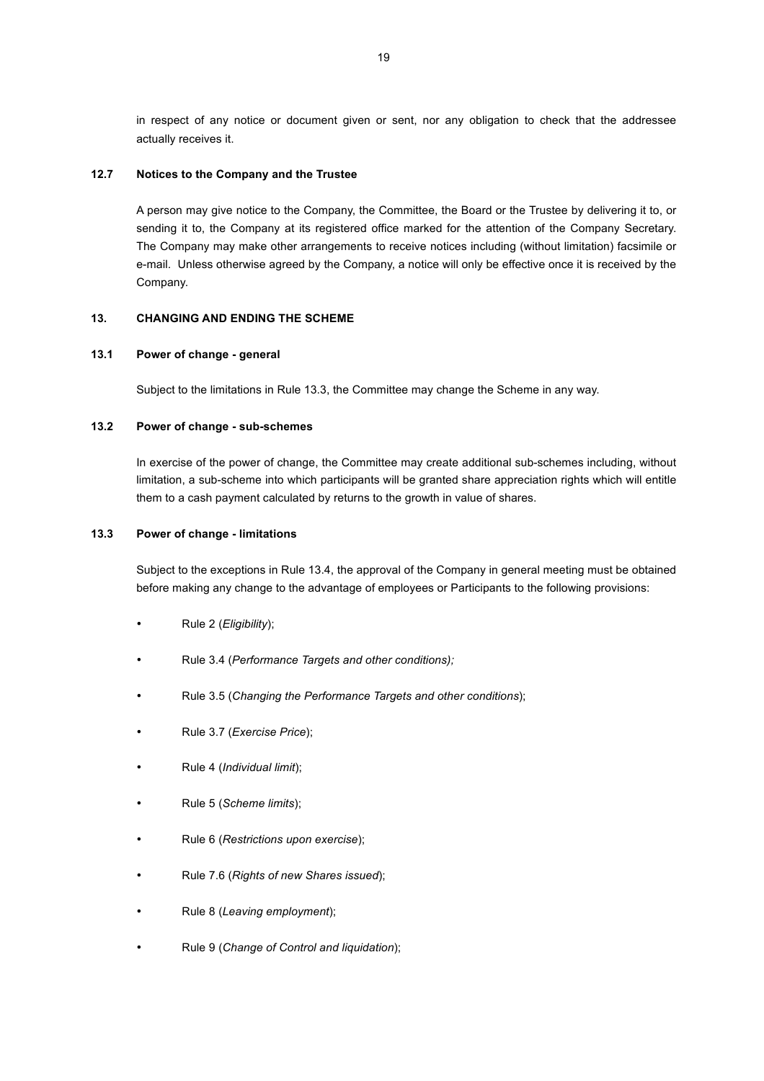in respect of any notice or document given or sent, nor any obligation to check that the addressee actually receives it.

# **12.7 Notices to the Company and the Trustee**

A person may give notice to the Company, the Committee, the Board or the Trustee by delivering it to, or sending it to, the Company at its registered office marked for the attention of the Company Secretary. The Company may make other arrangements to receive notices including (without limitation) facsimile or e-mail. Unless otherwise agreed by the Company, a notice will only be effective once it is received by the Company.

# **13. CHANGING AND ENDING THE SCHEME**

### **13.1 Power of change - general**

Subject to the limitations in Rule 13.3, the Committee may change the Scheme in any way.

### **13.2 Power of change - sub-schemes**

In exercise of the power of change, the Committee may create additional sub-schemes including, without limitation, a sub-scheme into which participants will be granted share appreciation rights which will entitle them to a cash payment calculated by returns to the growth in value of shares.

### **13.3 Power of change - limitations**

Subject to the exceptions in Rule 13.4, the approval of the Company in general meeting must be obtained before making any change to the advantage of employees or Participants to the following provisions:

- Rule 2 (*Eligibility*);
- Rule 3.4 (*Performance Targets and other conditions);*
- Rule 3.5 (*Changing the Performance Targets and other conditions*);
- Rule 3.7 (*Exercise Price*);
- Rule 4 (*Individual limit*);
- Rule 5 (*Scheme limits*);
- Rule 6 (*Restrictions upon exercise*);
- Rule 7.6 (*Rights of new Shares issued*);
- Rule 8 (*Leaving employment*);
- Rule 9 (*Change of Control and liquidation*);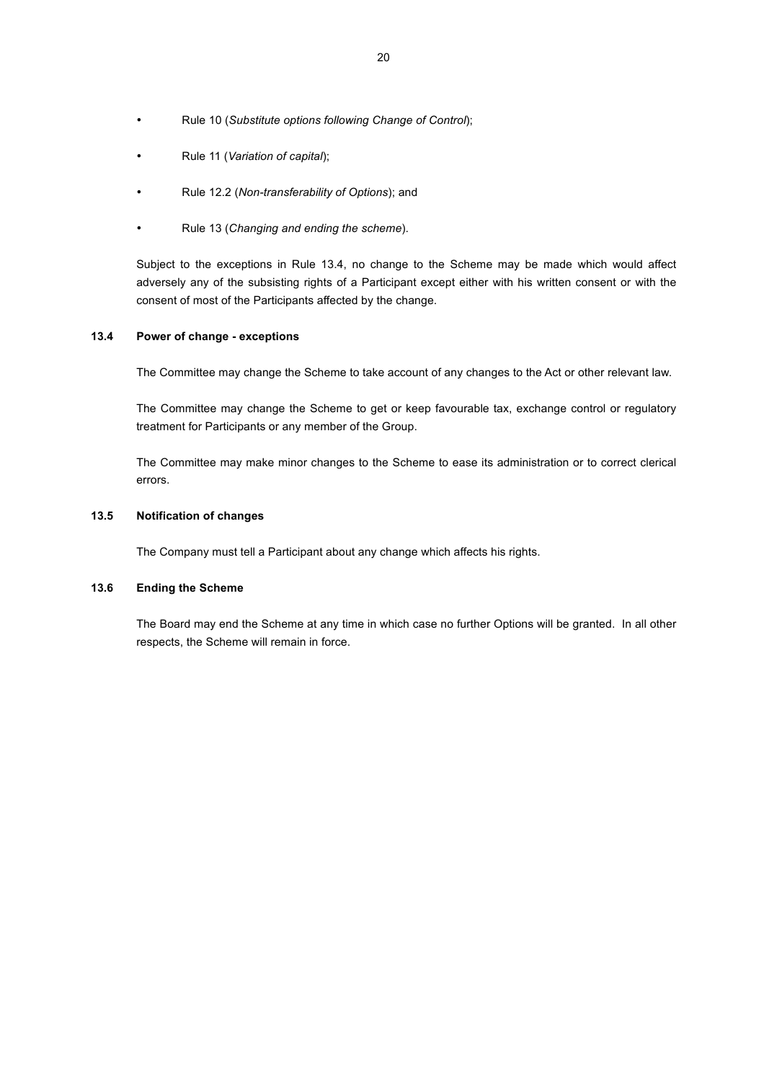- Rule 10 (*Substitute options following Change of Control*);
- Rule 11 (*Variation of capital*);
- Rule 12.2 (*Non-transferability of Options*); and
- Rule 13 (*Changing and ending the scheme*).

Subject to the exceptions in Rule 13.4, no change to the Scheme may be made which would affect adversely any of the subsisting rights of a Participant except either with his written consent or with the consent of most of the Participants affected by the change.

# **13.4 Power of change - exceptions**

The Committee may change the Scheme to take account of any changes to the Act or other relevant law.

The Committee may change the Scheme to get or keep favourable tax, exchange control or regulatory treatment for Participants or any member of the Group.

The Committee may make minor changes to the Scheme to ease its administration or to correct clerical errors.

# **13.5 Notification of changes**

The Company must tell a Participant about any change which affects his rights.

# **13.6 Ending the Scheme**

The Board may end the Scheme at any time in which case no further Options will be granted. In all other respects, the Scheme will remain in force.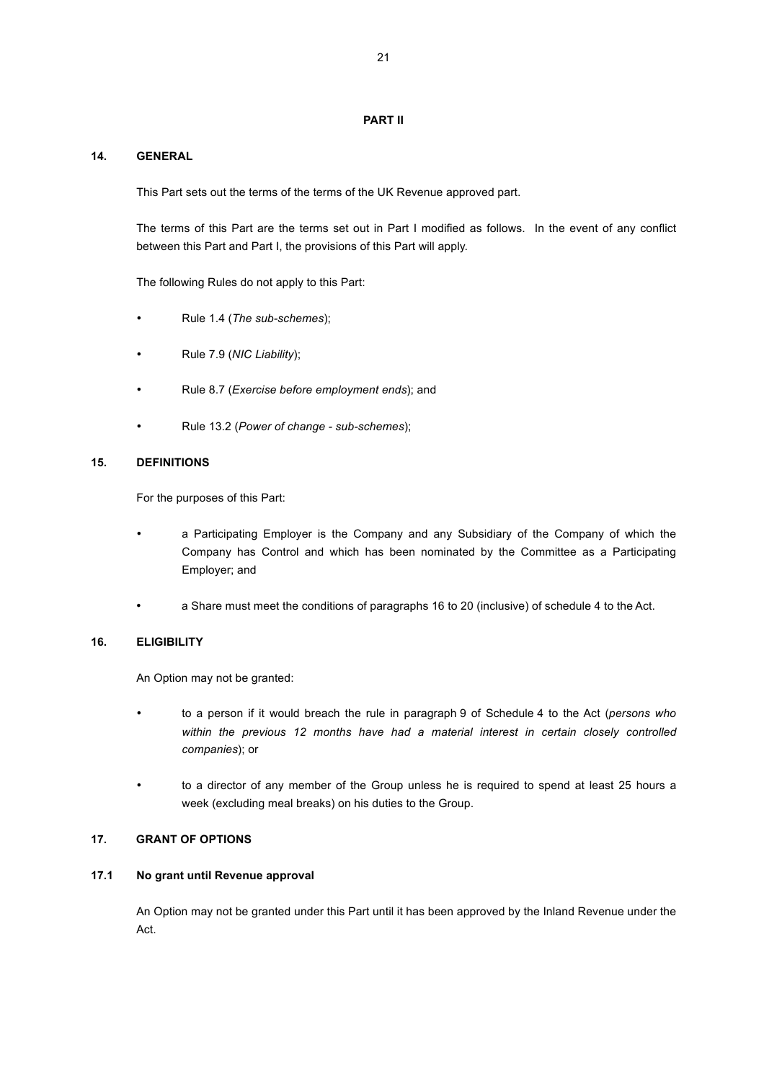# **PART II**

# **14. GENERAL**

This Part sets out the terms of the terms of the UK Revenue approved part.

The terms of this Part are the terms set out in Part I modified as follows. In the event of any conflict between this Part and Part I, the provisions of this Part will apply.

The following Rules do not apply to this Part:

- Rule 1.4 (*The sub-schemes*);
- Rule 7.9 (*NIC Liability*);
- Rule 8.7 (*Exercise before employment ends*); and
- Rule 13.2 (*Power of change sub-schemes*);

# **15. DEFINITIONS**

For the purposes of this Part:

- a Participating Employer is the Company and any Subsidiary of the Company of which the Company has Control and which has been nominated by the Committee as a Participating Employer; and
- a Share must meet the conditions of paragraphs 16 to 20 (inclusive) of schedule 4 to the Act.

# **16. ELIGIBILITY**

An Option may not be granted:

- to a person if it would breach the rule in paragraph 9 of Schedule 4 to the Act (*persons who within the previous 12 months have had a material interest in certain closely controlled companies*); or
- to a director of any member of the Group unless he is required to spend at least 25 hours a week (excluding meal breaks) on his duties to the Group.

# **17. GRANT OF OPTIONS**

#### **17.1 No grant until Revenue approval**

An Option may not be granted under this Part until it has been approved by the Inland Revenue under the Act.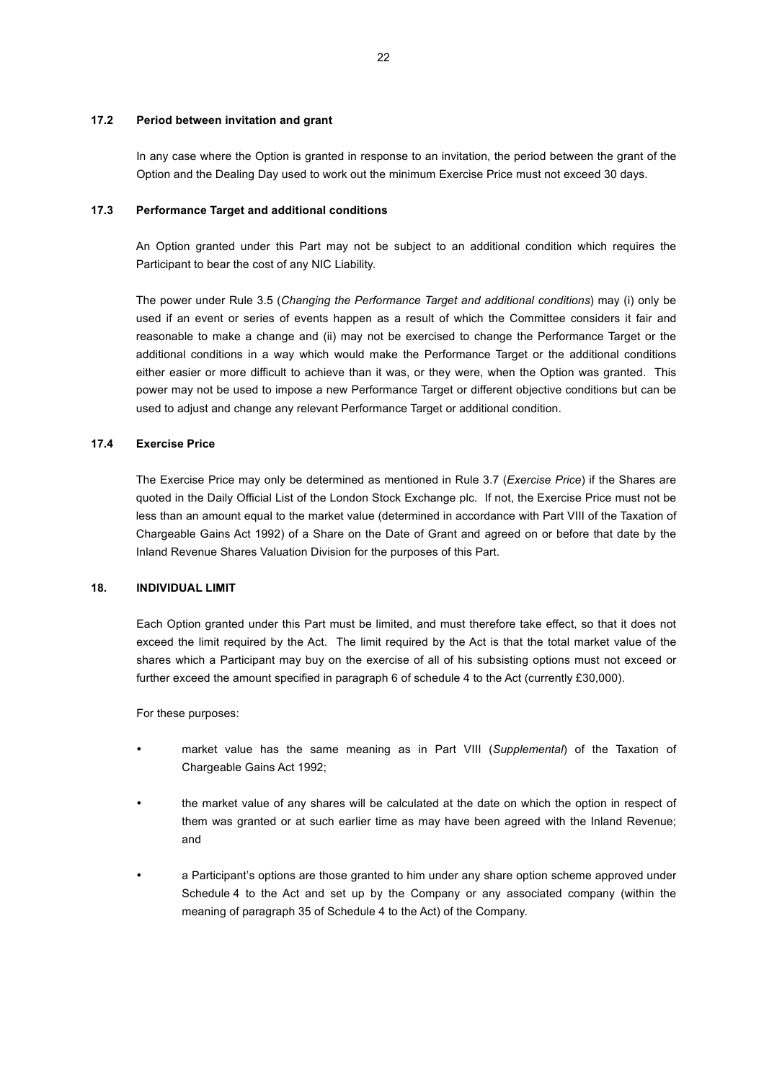#### **17.2 Period between invitation and grant**

In any case where the Option is granted in response to an invitation, the period between the grant of the Option and the Dealing Day used to work out the minimum Exercise Price must not exceed 30 days.

### **17.3 Performance Target and additional conditions**

An Option granted under this Part may not be subject to an additional condition which requires the Participant to bear the cost of any NIC Liability.

The power under Rule 3.5 (*Changing the Performance Target and additional conditions*) may (i) only be used if an event or series of events happen as a result of which the Committee considers it fair and reasonable to make a change and (ii) may not be exercised to change the Performance Target or the additional conditions in a way which would make the Performance Target or the additional conditions either easier or more difficult to achieve than it was, or they were, when the Option was granted. This power may not be used to impose a new Performance Target or different objective conditions but can be used to adjust and change any relevant Performance Target or additional condition.

### **17.4 Exercise Price**

The Exercise Price may only be determined as mentioned in Rule 3.7 (*Exercise Price*) if the Shares are quoted in the Daily Official List of the London Stock Exchange plc. If not, the Exercise Price must not be less than an amount equal to the market value (determined in accordance with Part VIII of the Taxation of Chargeable Gains Act 1992) of a Share on the Date of Grant and agreed on or before that date by the Inland Revenue Shares Valuation Division for the purposes of this Part.

# **18. INDIVIDUAL LIMIT**

Each Option granted under this Part must be limited, and must therefore take effect, so that it does not exceed the limit required by the Act. The limit required by the Act is that the total market value of the shares which a Participant may buy on the exercise of all of his subsisting options must not exceed or further exceed the amount specified in paragraph 6 of schedule 4 to the Act (currently £30,000).

For these purposes:

- market value has the same meaning as in Part VIII (*Supplemental*) of the Taxation of Chargeable Gains Act 1992;
- the market value of any shares will be calculated at the date on which the option in respect of them was granted or at such earlier time as may have been agreed with the Inland Revenue; and
- a Participant's options are those granted to him under any share option scheme approved under Schedule 4 to the Act and set up by the Company or any associated company (within the meaning of paragraph 35 of Schedule 4 to the Act) of the Company.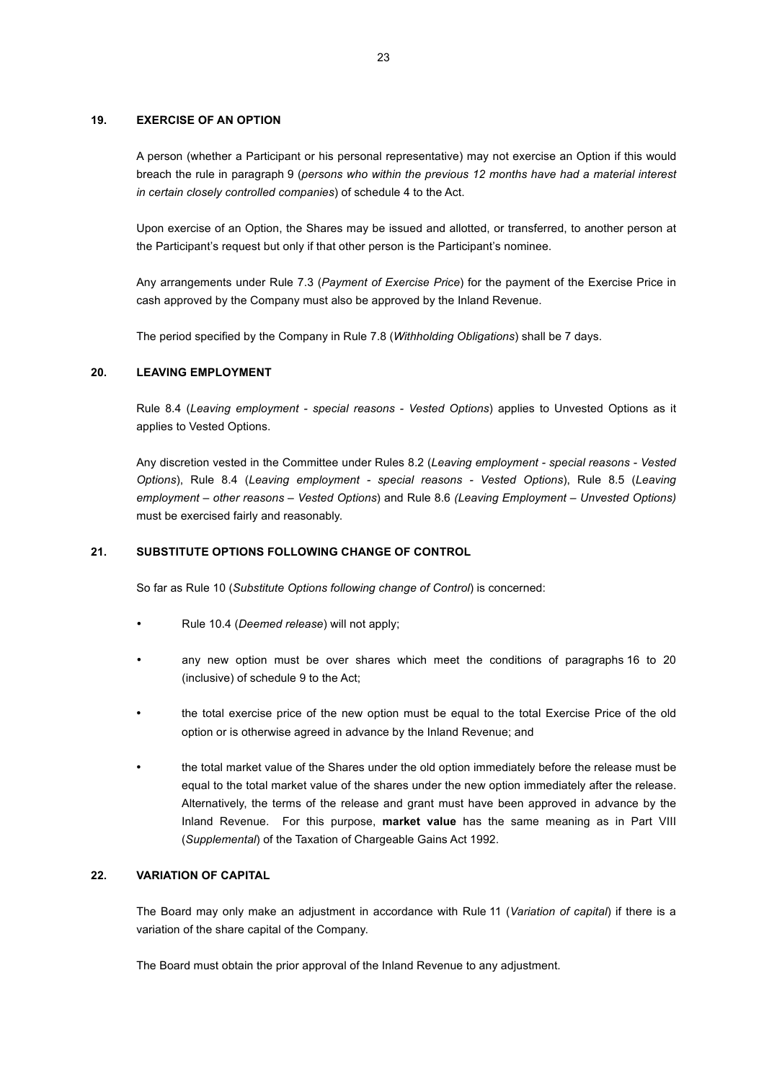### **19. EXERCISE OF AN OPTION**

A person (whether a Participant or his personal representative) may not exercise an Option if this would breach the rule in paragraph 9 (*persons who within the previous 12 months have had a material interest in certain closely controlled companies*) of schedule 4 to the Act.

Upon exercise of an Option, the Shares may be issued and allotted, or transferred, to another person at the Participant's request but only if that other person is the Participant's nominee.

Any arrangements under Rule 7.3 (*Payment of Exercise Price*) for the payment of the Exercise Price in cash approved by the Company must also be approved by the Inland Revenue.

The period specified by the Company in Rule 7.8 (*Withholding Obligations*) shall be 7 days.

### **20. LEAVING EMPLOYMENT**

Rule 8.4 (*Leaving employment - special reasons - Vested Options*) applies to Unvested Options as it applies to Vested Options.

Any discretion vested in the Committee under Rules 8.2 (*Leaving employment - special reasons - Vested Options*), Rule 8.4 (*Leaving employment - special reasons - Vested Options*), Rule 8.5 (*Leaving employment – other reasons – Vested Options*) and Rule 8.6 *(Leaving Employment – Unvested Options)*  must be exercised fairly and reasonably.

### **21. SUBSTITUTE OPTIONS FOLLOWING CHANGE OF CONTROL**

So far as Rule 10 (*Substitute Options following change of Control*) is concerned:

- Rule 10.4 (*Deemed release*) will not apply;
- any new option must be over shares which meet the conditions of paragraphs 16 to 20 (inclusive) of schedule 9 to the Act;
- the total exercise price of the new option must be equal to the total Exercise Price of the old option or is otherwise agreed in advance by the Inland Revenue; and
- the total market value of the Shares under the old option immediately before the release must be equal to the total market value of the shares under the new option immediately after the release. Alternatively, the terms of the release and grant must have been approved in advance by the Inland Revenue. For this purpose, **market value** has the same meaning as in Part VIII (*Supplemental*) of the Taxation of Chargeable Gains Act 1992.

#### **22. VARIATION OF CAPITAL**

The Board may only make an adjustment in accordance with Rule 11 (*Variation of capital*) if there is a variation of the share capital of the Company.

The Board must obtain the prior approval of the Inland Revenue to any adjustment.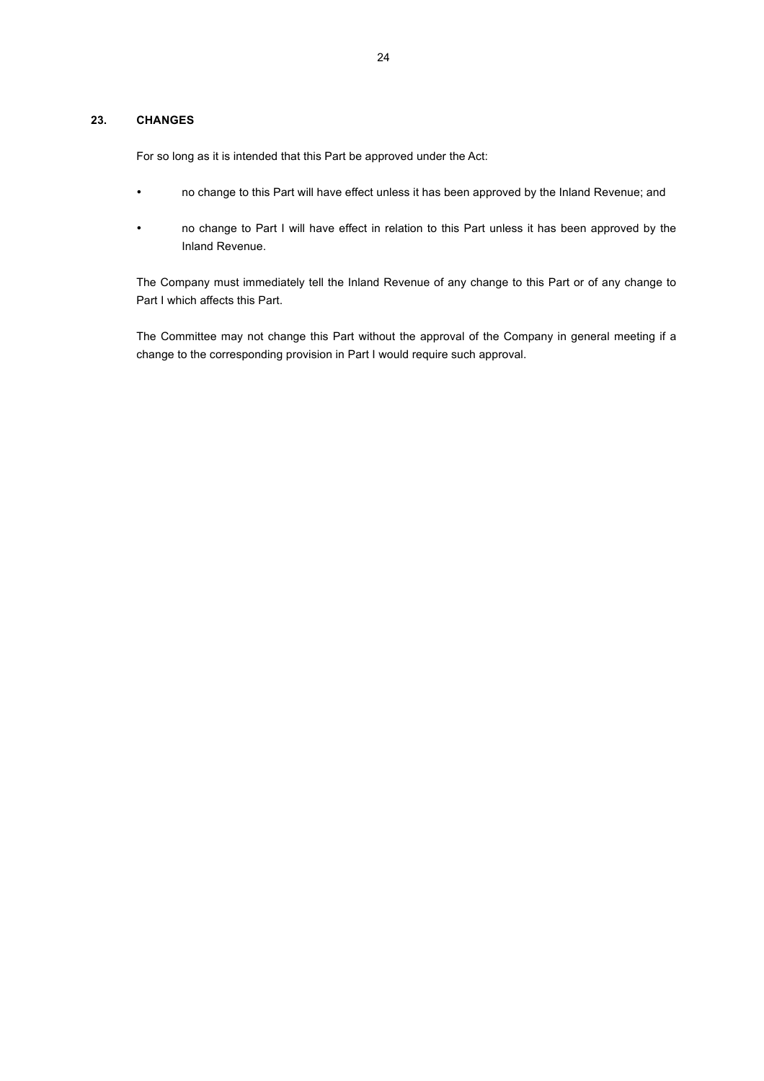# **23. CHANGES**

For so long as it is intended that this Part be approved under the Act:

- no change to this Part will have effect unless it has been approved by the Inland Revenue; and
- no change to Part I will have effect in relation to this Part unless it has been approved by the Inland Revenue.

The Company must immediately tell the Inland Revenue of any change to this Part or of any change to Part I which affects this Part.

The Committee may not change this Part without the approval of the Company in general meeting if a change to the corresponding provision in Part I would require such approval.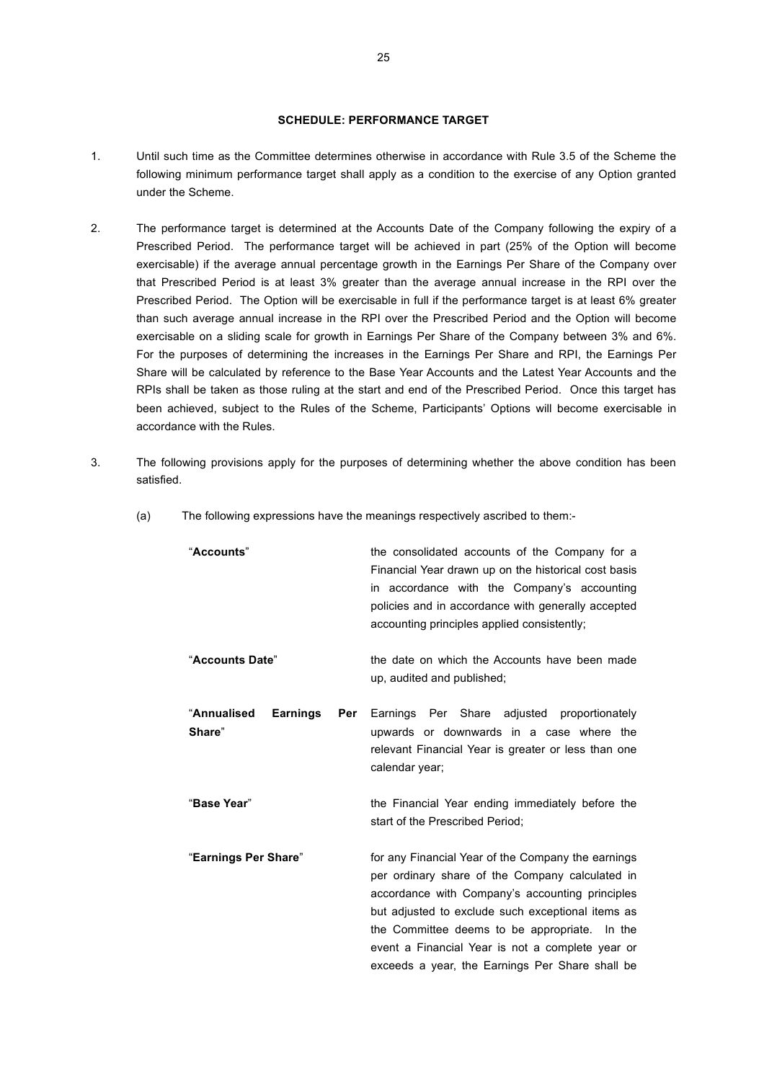# **SCHEDULE: PERFORMANCE TARGET**

- 1. Until such time as the Committee determines otherwise in accordance with Rule 3.5 of the Scheme the following minimum performance target shall apply as a condition to the exercise of any Option granted under the Scheme.
- 2. The performance target is determined at the Accounts Date of the Company following the expiry of a Prescribed Period. The performance target will be achieved in part (25% of the Option will become exercisable) if the average annual percentage growth in the Earnings Per Share of the Company over that Prescribed Period is at least 3% greater than the average annual increase in the RPI over the Prescribed Period. The Option will be exercisable in full if the performance target is at least 6% greater than such average annual increase in the RPI over the Prescribed Period and the Option will become exercisable on a sliding scale for growth in Earnings Per Share of the Company between 3% and 6%. For the purposes of determining the increases in the Earnings Per Share and RPI, the Earnings Per Share will be calculated by reference to the Base Year Accounts and the Latest Year Accounts and the RPIs shall be taken as those ruling at the start and end of the Prescribed Period. Once this target has been achieved, subject to the Rules of the Scheme, Participants' Options will become exercisable in accordance with the Rules.
- 3. The following provisions apply for the purposes of determining whether the above condition has been satisfied.
	- (a) The following expressions have the meanings respectively ascribed to them:-

| "Accounts"                                      | the consolidated accounts of the Company for a<br>Financial Year drawn up on the historical cost basis<br>in accordance with the Company's accounting<br>policies and in accordance with generally accepted<br>accounting principles applied consistently;                                                                                                            |
|-------------------------------------------------|-----------------------------------------------------------------------------------------------------------------------------------------------------------------------------------------------------------------------------------------------------------------------------------------------------------------------------------------------------------------------|
| "Accounts Date"                                 | the date on which the Accounts have been made<br>up, audited and published;                                                                                                                                                                                                                                                                                           |
| "Annualised<br><b>Earnings</b><br>Per<br>Share" | Earnings Per Share adjusted proportionately<br>upwards or downwards in a case where the<br>relevant Financial Year is greater or less than one<br>calendar year;                                                                                                                                                                                                      |
| "Base Year"                                     | the Financial Year ending immediately before the<br>start of the Prescribed Period:                                                                                                                                                                                                                                                                                   |
| "Earnings Per Share"                            | for any Financial Year of the Company the earnings<br>per ordinary share of the Company calculated in<br>accordance with Company's accounting principles<br>but adjusted to exclude such exceptional items as<br>the Committee deems to be appropriate. In the<br>event a Financial Year is not a complete year or<br>exceeds a year, the Earnings Per Share shall be |